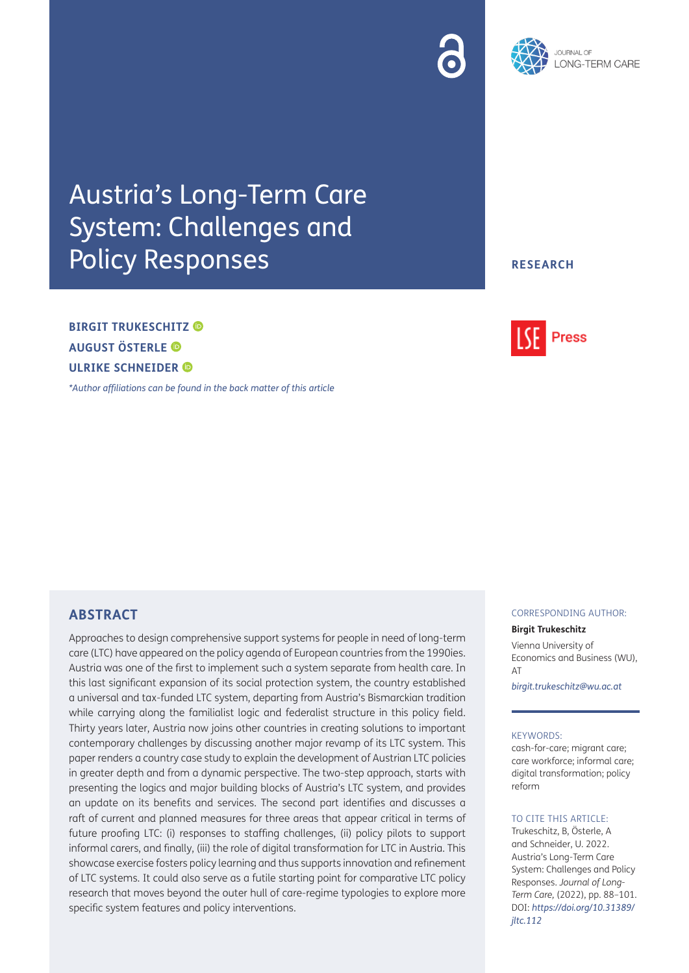

## Austria's Long-Term Care System: Challenges and Policy Responses

## **RESEARCH**

## **BIRGIT TRUKESCHITZ AUGUST ÖSTERLE ULRIKE SCHNEIDER**

*[\\*Author affiliations can be found in the back matter of this article](#page-10-0)*

# **Press**

## **ABSTRACT**

Approaches to design comprehensive support systems for people in need of long-term care (LTC) have appeared on the policy agenda of European countries from the 1990ies. Austria was one of the first to implement such a system separate from health care. In this last significant expansion of its social protection system, the country established a universal and tax-funded LTC system, departing from Austria's Bismarckian tradition while carrying along the familialist logic and federalist structure in this policy field. Thirty years later, Austria now joins other countries in creating solutions to important contemporary challenges by discussing another major revamp of its LTC system. This paper renders a country case study to explain the development of Austrian LTC policies in greater depth and from a dynamic perspective. The two-step approach, starts with presenting the logics and major building blocks of Austria's LTC system, and provides an update on its benefits and services. The second part identifies and discusses a raft of current and planned measures for three areas that appear critical in terms of future proofing LTC: (i) responses to staffing challenges, (ii) policy pilots to support informal carers, and finally, (iii) the role of digital transformation for LTC in Austria. This showcase exercise fosters policy learning and thus supports innovation and refinement of LTC systems. It could also serve as a futile starting point for comparative LTC policy research that moves beyond the outer hull of care-regime typologies to explore more specific system features and policy interventions.

#### CORRESPONDING AUTHOR:

#### **Birgit Trukeschitz**

Vienna University of Economics and Business (WU), AT

*[birgit.trukeschitz@wu.ac.at](mailto:birgit.trukeschitz@wu.ac.at)*

#### KEYWORDS:

cash-for-care; migrant care; care workforce; informal care; digital transformation; policy reform

#### TO CITE THIS ARTICLE:

Trukeschitz, B, Österle, A and Schneider, U. 2022. Austria's Long-Term Care System: Challenges and Policy Responses. *Journal of Long-Term Care,* (2022), pp. 88–101. DOI: *[https://doi.org/10.31389/](https://doi.org/10.31389/jltc.112) [jltc.112](https://doi.org/10.31389/jltc.112)*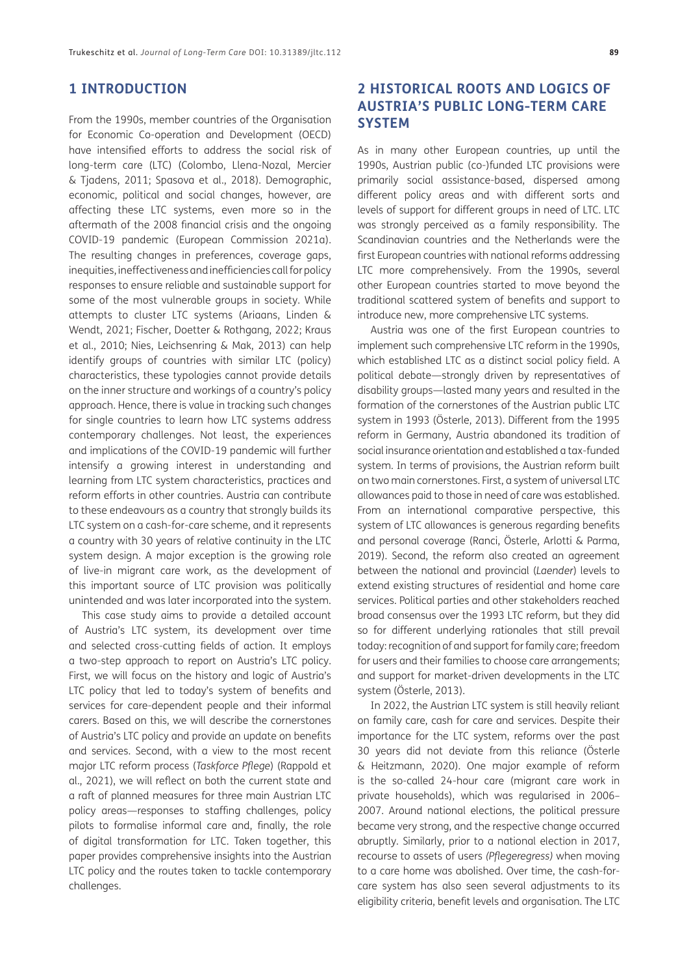## **1 INTRODUCTION**

From the 1990s, member countries of the Organisation for Economic Co-operation and Development (OECD) have intensified efforts to address the social risk of long-term care (LTC) ([Colombo, Llena-Nozal, Mercier](#page-10-1) [& Tjadens, 2011](#page-10-1); [Spasova et al., 2018\)](#page-12-0). Demographic, economic, political and social changes, however, are affecting these LTC systems, even more so in the aftermath of the 2008 financial crisis and the ongoing COVID-19 pandemic ([European Commission 2021a](#page-10-1)). The resulting changes in preferences, coverage gaps, inequities, ineffectiveness and inefficiencies call for policy responses to ensure reliable and sustainable support for some of the most vulnerable groups in society. While attempts to cluster LTC systems [\(Ariaans, Linden &](#page-10-1) [Wendt, 2021;](#page-10-1) [Fischer, Doetter & Rothgang, 2022;](#page-11-0) [Kraus](#page-11-0) [et al., 2010;](#page-11-0) [Nies, Leichsenring & Mak, 2013\)](#page-11-0) can help identify groups of countries with similar LTC (policy) characteristics, these typologies cannot provide details on the inner structure and workings of a country's policy approach. Hence, there is value in tracking such changes for single countries to learn how LTC systems address contemporary challenges. Not least, the experiences and implications of the COVID-19 pandemic will further intensify a growing interest in understanding and learning from LTC system characteristics, practices and reform efforts in other countries. Austria can contribute to these endeavours as a country that strongly builds its LTC system on a cash-for-care scheme, and it represents a country with 30 years of relative continuity in the LTC system design. A major exception is the growing role of live-in migrant care work, as the development of this important source of LTC provision was politically unintended and was later incorporated into the system.

This case study aims to provide a detailed account of Austria's LTC system, its development over time and selected cross-cutting fields of action. It employs a two-step approach to report on Austria's LTC policy. First, we will focus on the history and logic of Austria's LTC policy that led to today's system of benefits and services for care-dependent people and their informal carers. Based on this, we will describe the cornerstones of Austria's LTC policy and provide an update on benefits and services. Second, with a view to the most recent major LTC reform process (*Taskforce Pflege*) ([Rappold et](#page-11-0) [al., 2021\)](#page-11-0), we will reflect on both the current state and a raft of planned measures for three main Austrian LTC policy areas—responses to staffing challenges, policy pilots to formalise informal care and, finally, the role of digital transformation for LTC. Taken together, this paper provides comprehensive insights into the Austrian LTC policy and the routes taken to tackle contemporary challenges.

## **2 HISTORICAL ROOTS AND LOGICS OF AUSTRIA'S PUBLIC LONG-TERM CARE SYSTEM**

As in many other European countries, up until the 1990s, Austrian public (co-)funded LTC provisions were primarily social assistance-based, dispersed among different policy areas and with different sorts and levels of support for different groups in need of LTC. LTC was strongly perceived as a family responsibility. The Scandinavian countries and the Netherlands were the first European countries with national reforms addressing LTC more comprehensively. From the 1990s, several other European countries started to move beyond the traditional scattered system of benefits and support to introduce new, more comprehensive LTC systems.

Austria was one of the first European countries to implement such comprehensive LTC reform in the 1990s, which established LTC as a distinct social policy field. A political debate—strongly driven by representatives of disability groups—lasted many years and resulted in the formation of the cornerstones of the Austrian public LTC system in 1993 [\(Österle, 2013](#page-11-0)). Different from the 1995 reform in Germany, Austria abandoned its tradition of social insurance orientation and established a tax-funded system. In terms of provisions, the Austrian reform built on two main cornerstones. First, a system of universal LTC allowances paid to those in need of care was established. From an international comparative perspective, this system of LTC allowances is generous regarding benefits and personal coverage ([Ranci, Österle, Arlotti & Parma,](#page-12-0)  [2019\)](#page-12-0). Second, the reform also created an agreement between the national and provincial (*Laender*) levels to extend existing structures of residential and home care services. Political parties and other stakeholders reached broad consensus over the 1993 LTC reform, but they did so for different underlying rationales that still prevail today: recognition of and support for family care; freedom for users and their families to choose care arrangements; and support for market-driven developments in the LTC system [\(Österle, 2013\)](#page-11-0).

In 2022, the Austrian LTC system is still heavily reliant on family care, cash for care and services. Despite their importance for the LTC system, reforms over the past 30 years did not deviate from this reliance [\(Österle](#page-12-0)  [& Heitzmann, 2020](#page-12-0)). One major example of reform is the so-called 24-hour care (migrant care work in private households), which was regularised in 2006– 2007. Around national elections, the political pressure became very strong, and the respective change occurred abruptly. Similarly, prior to a national election in 2017, recourse to assets of users *(Pflegeregress)* when moving to a care home was abolished. Over time, the cash-forcare system has also seen several adjustments to its eligibility criteria, benefit levels and organisation. The LTC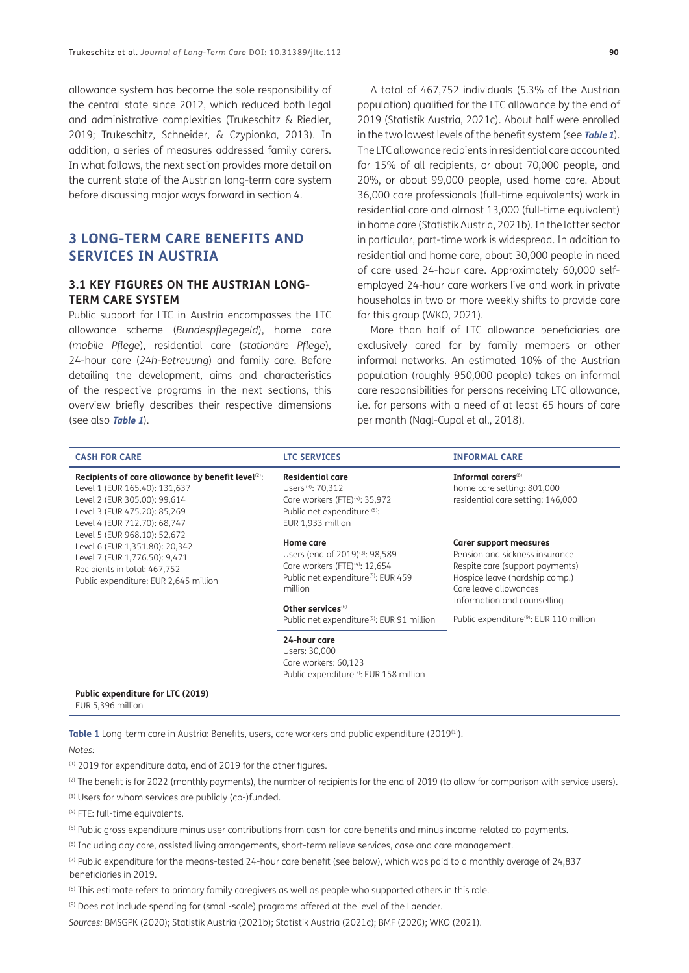allowance system has become the sole responsibility of the central state since 2012, which reduced both legal and administrative complexities [\(Trukeschitz & Riedler,](#page-13-0) [2019](#page-13-0); [Trukeschitz, Schneider, & Czypionka, 2013](#page-13-0)). In addition, a series of measures addressed family carers. In what follows, the next section provides more detail on the current state of the Austrian long-term care system before discussing major ways forward in section 4.

## **3 LONG-TERM CARE BENEFITS AND SERVICES IN AUSTRIA**

#### **3.1 KEY FIGURES ON THE AUSTRIAN LONG-TERM CARE SYSTEM**

Public support for LTC in Austria encompasses the LTC allowance scheme (*Bundespflegegeld*), home care (*mobile Pflege*), residential care (*stationäre Pflege*), 24-hour care (*24h-Betreuung*) and family care. Before detailing the development, aims and characteristics of the respective programs in the next sections, this overview briefly describes their respective dimensions (see also **[Table 1](#page-2-0)**).

A total of 467,752 individuals (5.3% of the Austrian population) qualified for the LTC allowance by the end of 2019 [\(Statistik Austria, 2021c\)](#page-12-0). About half were enrolled in the two lowest levels of the benefit system (see **[Table 1](#page-2-0)**). The LTC allowance recipients in residential care accounted for 15% of all recipients, or about 70,000 people, and 20%, or about 99,000 people, used home care. About 36,000 care professionals (full-time equivalents) work in residential care and almost 13,000 (full-time equivalent) in home care ([Statistik Austria, 2021b\)](#page-12-0). In the latter sector in particular, part-time work is widespread. In addition to residential and home care, about 30,000 people in need of care used 24-hour care. Approximately 60,000 selfemployed 24-hour care workers live and work in private households in two or more weekly shifts to provide care for this group ([WKO, 2021\)](#page-12-0).

More than half of LTC allowance beneficiaries are exclusively cared for by family members or other informal networks. An estimated 10% of the Austrian population (roughly 950,000 people) takes on informal care responsibilities for persons receiving LTC allowance, i.e. for persons with a need of at least 65 hours of care per month ([Nagl-Cupal et al., 2018](#page-11-0)).

| <b>CASH FOR CARE</b>                                                                                                                                                                                                                                                                                                                                                        | <b>LTC SERVICES</b>                                                                                                                                        | <b>INFORMAL CARE</b>                                                                                                                                          |  |
|-----------------------------------------------------------------------------------------------------------------------------------------------------------------------------------------------------------------------------------------------------------------------------------------------------------------------------------------------------------------------------|------------------------------------------------------------------------------------------------------------------------------------------------------------|---------------------------------------------------------------------------------------------------------------------------------------------------------------|--|
| Recipients of care allowance by benefit level <sup>(2)</sup> :<br>Level 1 (EUR 165.40): 131,637<br>Level 2 (EUR 305.00): 99,614<br>Level 3 (EUR 475.20): 85,269<br>Level 4 (EUR 712.70): 68,747<br>Level 5 (EUR 968.10): 52,672<br>Level 6 (EUR 1,351.80): 20,342<br>Level 7 (EUR 1,776.50): 9,471<br>Recipients in total: 467,752<br>Public expenditure: EUR 2,645 million | <b>Residential care</b><br>Users <sup>(3)</sup> : 70,312<br>Care workers (FTE) <sup>(4)</sup> : 35,972<br>Public net expenditure (5):<br>EUR 1,933 million | Informal carers <sup>(8)</sup><br>home care setting: 801,000<br>residential care setting: 146,000                                                             |  |
|                                                                                                                                                                                                                                                                                                                                                                             | Home care<br>Users (end of 2019) <sup>(3)</sup> : 98,589<br>Care workers (FTE) <sup>(4)</sup> : 12,654<br>Public net expenditure(5): EUR 459<br>million    | <b>Carer support measures</b><br>Pension and sickness insurance<br>Respite care (support payments)<br>Hospice leave (hardship comp.)<br>Care leave allowances |  |
|                                                                                                                                                                                                                                                                                                                                                                             | Other services <sup>(6)</sup><br>Public net expenditure <sup>(5)</sup> : EUR 91 million                                                                    | Information and counselling<br>Public expenditure <sup>(9)</sup> : EUR 110 million                                                                            |  |
|                                                                                                                                                                                                                                                                                                                                                                             | 24-hour care<br>Users: 30,000<br>Care workers: 60,123<br>Public expenditure <sup>(7)</sup> : EUR 158 million                                               |                                                                                                                                                               |  |
| Public expenditure for LTC (2019)<br>EUR 5,396 million                                                                                                                                                                                                                                                                                                                      |                                                                                                                                                            |                                                                                                                                                               |  |

<span id="page-2-0"></span>Table 1 Long-term care in Austria: Benefits, users, care workers and public expenditure (2019<sup>(1)</sup>).

*Notes:*

(1) 2019 for expenditure data, end of 2019 for the other figures.

(2) The benefit is for 2022 (monthly payments), the number of recipients for the end of 2019 (to allow for comparison with service users).

(3) Users for whom services are publicly (co-)funded.

(4) FTE: full-time equivalents.

(5) Public gross expenditure minus user contributions from cash-for-care benefits and minus income-related co-payments.

(6) Including day care, assisted living arrangements, short-term relieve services, case and care management.

 $(7)$  Public expenditure for the means-tested 24-hour care benefit (see below), which was paid to a monthly average of 24,837 beneficiaries in 2019.

(8) This estimate refers to primary family caregivers as well as people who supported others in this role.

(9) Does not include spending for (small-scale) programs offered at the level of the Laender.

*Sources:* BMSGPK (2020); Statistik Austria (2021b); Statistik Austria (2021c); [BMF \(2020\)](#page-10-1); WKO (2021).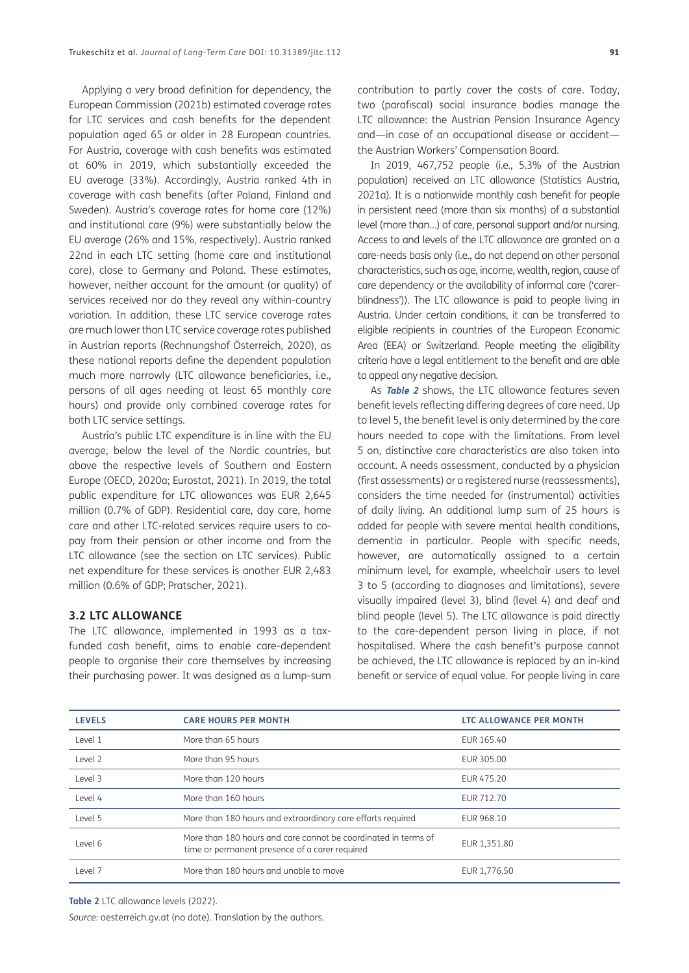Applying a very broad definition for dependency, the [European Commission \(2021b\)](#page-10-1) estimated coverage rates for LTC services and cash benefits for the dependent population aged 65 or older in 28 European countries. For Austria, coverage with cash benefits was estimated at 60% in 2019, which substantially exceeded the EU average (33%). Accordingly, Austria ranked 4th in coverage with cash benefits (after Poland, Finland and Sweden). Austria's coverage rates for home care (12%) and institutional care (9%) were substantially below the EU average (26% and 15%, respectively). Austria ranked 22nd in each LTC setting (home care and institutional care), close to Germany and Poland. These estimates, however, neither account for the amount (or quality) of services received nor do they reveal any within-country variation. In addition, these LTC service coverage rates are much lower than LTC service coverage rates published in Austrian reports [\(Rechnungshof Österreich, 2020\)](#page-11-0), as these national reports define the dependent population much more narrowly (LTC allowance beneficiaries, i.e., persons of all ages needing at least 65 monthly care hours) and provide only combined coverage rates for both LTC service settings.

Austria's public LTC expenditure is in line with the EU average, below the level of the Nordic countries, but above the respective levels of Southern and Eastern Europe ([OECD, 2020a;](#page-11-0) [Eurostat, 2021\)](#page-10-1). In 2019, the total public expenditure for LTC allowances was EUR 2,645 million (0.7% of GDP). Residential care, day care, home care and other LTC-related services require users to copay from their pension or other income and from the LTC allowance (see the section on LTC services). Public net expenditure for these services is another EUR 2,483 million (0.6% of GDP; [Pratscher, 2021](#page-11-0)).

#### **3.2 LTC ALLOWANCE**

The LTC allowance, implemented in 1993 as a taxfunded cash benefit, aims to enable care-dependent people to organise their care themselves by increasing their purchasing power. It was designed as a lump-sum contribution to partly cover the costs of care. Today, two (parafiscal) social insurance bodies manage the LTC allowance: the Austrian Pension Insurance Agency and—in case of an occupational disease or accident the Austrian Workers' Compensation Board.

In 2019, 467,752 people (i.e., 5.3% of the Austrian population) received an LTC allowance (Statistics Austria, 2021a). It is a nationwide monthly cash benefit for people in persistent need (more than six months) of a substantial level (more than…) of care, personal support and/or nursing. Access to and levels of the LTC allowance are granted on a care-needs basis only (i.e., do not depend on other personal characteristics, such as age, income, wealth, region, cause of care dependency or the availability of informal care ('carerblindness')). The LTC allowance is paid to people living in Austria. Under certain conditions, it can be transferred to eligible recipients in countries of the European Economic Area (EEA) or Switzerland. People meeting the eligibility criteria have a legal entitlement to the benefit and are able to appeal any negative decision.

As **[Table 2](#page-3-0)** shows, the LTC allowance features seven benefit levels reflecting differing degrees of care need. Up to level 5, the benefit level is only determined by the care hours needed to cope with the limitations. From level 5 on, distinctive care characteristics are also taken into account. A needs assessment, conducted by a physician (first assessments) or a registered nurse (reassessments), considers the time needed for (instrumental) activities of daily living. An additional lump sum of 25 hours is added for people with severe mental health conditions, dementia in particular. People with specific needs, however, are automatically assigned to a certain minimum level, for example, wheelchair users to level 3 to 5 (according to diagnoses and limitations), severe visually impaired (level 3), blind (level 4) and deaf and blind people (level 5). The LTC allowance is paid directly to the care-dependent person living in place, if not hospitalised. Where the cash benefit's purpose cannot be achieved, the LTC allowance is replaced by an in-kind benefit or service of equal value. For people living in care

| <b>LEVELS</b> | <b>CARE HOURS PER MONTH</b>                                                                                      | <b>LTC ALLOWANCE PER MONTH</b> |  |
|---------------|------------------------------------------------------------------------------------------------------------------|--------------------------------|--|
| Level 1       | More than 65 hours                                                                                               | EUR 165.40                     |  |
| Level 2       | More than 95 hours                                                                                               | EUR 305.00                     |  |
| Level 3       | More than 120 hours                                                                                              | EUR 475.20                     |  |
| Level 4       | More than 160 hours                                                                                              | EUR 712.70                     |  |
| Level 5       | More than 180 hours and extraordinary care efforts required                                                      | EUR 968.10                     |  |
| Level 6       | More than 180 hours and care cannot be coordinated in terms of<br>time or permanent presence of a carer required | EUR 1,351.80                   |  |
| Level 7       | More than 180 hours and unable to move                                                                           | EUR 1,776.50                   |  |

<span id="page-3-0"></span>**Table 2** LTC allowance levels (2022).

*Source:* [oesterreich.gv.at \(no date\)](#page-11-0). Translation by the authors.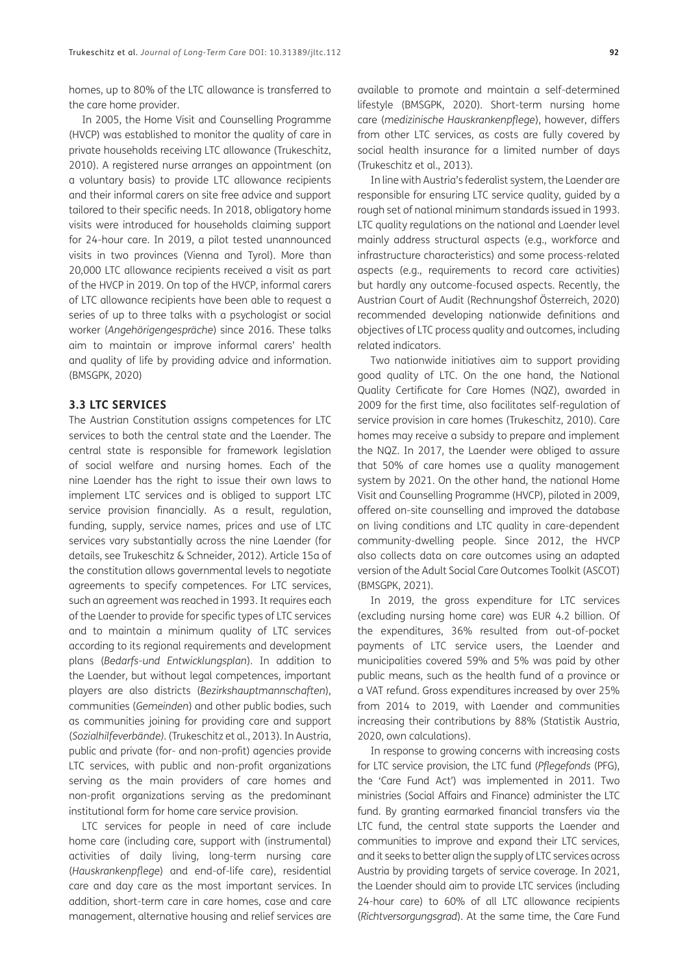homes, up to 80% of the LTC allowance is transferred to the care home provider.

In 2005, the Home Visit and Counselling Programme (HVCP) was established to monitor the quality of care in private households receiving LTC allowance ([Trukeschitz,](#page-12-0) [2010](#page-12-0)). A registered nurse arranges an appointment (on a voluntary basis) to provide LTC allowance recipients and their informal carers on site free advice and support tailored to their specific needs. In 2018, obligatory home visits were introduced for households claiming support for 24-hour care. In 2019, a pilot tested unannounced visits in two provinces (Vienna and Tyrol). More than 20,000 LTC allowance recipients received a visit as part of the HVCP in 2019. On top of the HVCP, informal carers of LTC allowance recipients have been able to request a series of up to three talks with a psychologist or social worker (*Angehörigengespräche*) since 2016. These talks aim to maintain or improve informal carers' health and quality of life by providing advice and information. [\(BMSGPK, 2020\)](#page-10-1)

#### **3.3 LTC SERVICES**

The Austrian Constitution assigns competences for LTC services to both the central state and the Laender. The central state is responsible for framework legislation of social welfare and nursing homes. Each of the nine Laender has the right to issue their own laws to implement LTC services and is obliged to support LTC service provision financially. As a result, regulation, funding, supply, service names, prices and use of LTC services vary substantially across the nine Laender (for details, see [Trukeschitz & Schneider, 2012\)](#page-13-0). Article 15a of the constitution allows governmental levels to negotiate agreements to specify competences. For LTC services, such an agreement was reached in 1993. It requires each of the Laender to provide for specific types of LTC services and to maintain a minimum quality of LTC services according to its regional requirements and development plans (*Bedarfs-und Entwicklungsplan*). In addition to the Laender, but without legal competences, important players are also districts (*Bezirkshauptmannschaften*), communities (*Gemeinden*) and other public bodies, such as communities joining for providing care and support (*Sozialhilfeverbände).* ([Trukeschitz et al., 2013\)](#page-13-0). In Austria, public and private (for- and non-profit) agencies provide LTC services, with public and non-profit organizations serving as the main providers of care homes and non-profit organizations serving as the predominant institutional form for home care service provision.

LTC services for people in need of care include home care (including care, support with (instrumental) activities of daily living, long-term nursing care (*Hauskrankenpflege*) and end-of-life care), residential care and day care as the most important services. In addition, short-term care in care homes, case and care management, alternative housing and relief services are

available to promote and maintain a self-determined lifestyle ([BMSGPK, 2020\)](#page-10-1). Short-term nursing home care (*medizinische Hauskrankenpflege*), however, differs from other LTC services, as costs are fully covered by social health insurance for a limited number of days ([Trukeschitz et al., 2013\)](#page-13-0).

In line with Austria's federalist system, the Laender are responsible for ensuring LTC service quality, guided by a rough set of national minimum standards issued in 1993. LTC quality regulations on the national and Laender level mainly address structural aspects (e.g., workforce and infrastructure characteristics) and some process-related aspects (e.g., requirements to record care activities) but hardly any outcome-focused aspects. Recently, the Austrian Court of Audit ([Rechnungshof Österreich, 2020\)](#page-11-0) recommended developing nationwide definitions and objectives of LTC process quality and outcomes, including related indicators.

Two nationwide initiatives aim to support providing good quality of LTC. On the one hand, the National Quality Certificate for Care Homes (NQZ), awarded in 2009 for the first time, also facilitates self-regulation of service provision in care homes [\(Trukeschitz, 2010](#page-12-0)). Care homes may receive a subsidy to prepare and implement the NQZ. In 2017, the Laender were obliged to assure that 50% of care homes use a quality management system by 2021. On the other hand, the national Home Visit and Counselling Programme (HVCP), piloted in 2009, offered on-site counselling and improved the database on living conditions and LTC quality in care-dependent community-dwelling people. Since 2012, the HVCP also collects data on care outcomes using an adapted version of the Adult Social Care Outcomes Toolkit (ASCOT) ([BMSGPK, 2021](#page-10-1)).

In 2019, the gross expenditure for LTC services (excluding nursing home care) was EUR 4.2 billion. Of the expenditures, 36% resulted from out-of-pocket payments of LTC service users, the Laender and municipalities covered 59% and 5% was paid by other public means, such as the health fund of a province or a VAT refund. Gross expenditures increased by over 25% from 2014 to 2019, with Laender and communities increasing their contributions by 88% ([Statistik Austria,](#page-12-0)  [2020,](#page-12-0) own calculations).

In response to growing concerns with increasing costs for LTC service provision, the LTC fund (*Pflegefonds* (PFG), the 'Care Fund Act') was implemented in 2011. Two ministries (Social Affairs and Finance) administer the LTC fund. By granting earmarked financial transfers via the LTC fund, the central state supports the Laender and communities to improve and expand their LTC services, and it seeks to better align the supply of LTC services across Austria by providing targets of service coverage. In 2021, the Laender should aim to provide LTC services (including 24-hour care) to 60% of all LTC allowance recipients (*Richtversorgungsgrad*). At the same time, the Care Fund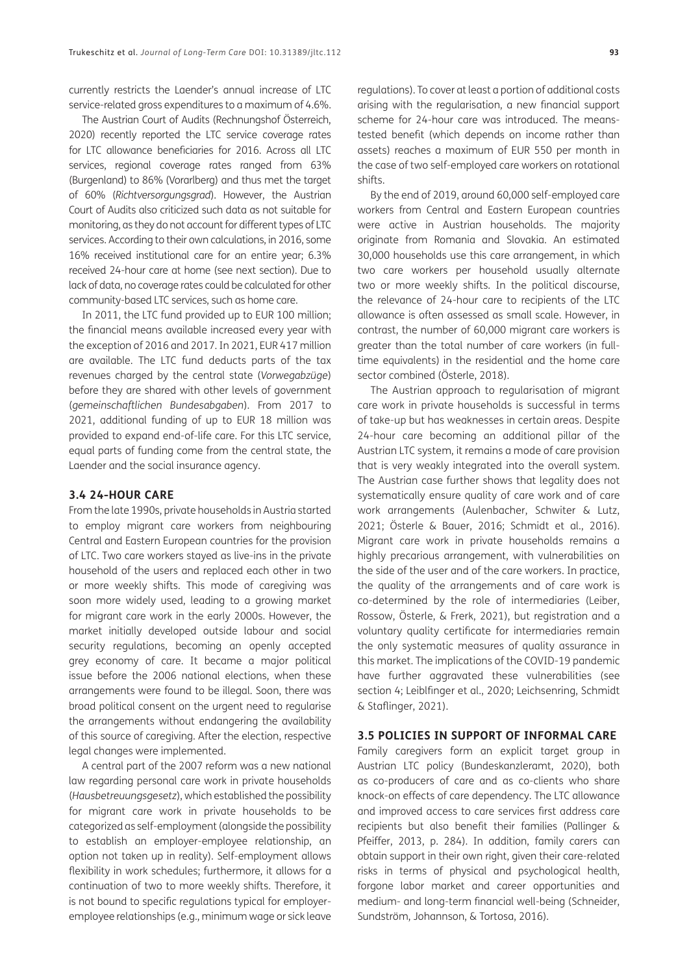currently restricts the Laender's annual increase of LTC service-related gross expenditures to a maximum of 4.6%.

The Austrian Court of Audits ([Rechnungshof Österreich,](#page-11-0) [2020\)](#page-11-0) recently reported the LTC service coverage rates for LTC allowance beneficiaries for 2016. Across all LTC services, regional coverage rates ranged from 63% (Burgenland) to 86% (Vorarlberg) and thus met the target of 60% (*Richtversorgungsgrad*). However, the Austrian Court of Audits also criticized such data as not suitable for monitoring, as they do not account for different types of LTC services. According to their own calculations, in 2016, some 16% received institutional care for an entire year; 6.3% received 24-hour care at home (see next section). Due to lack of data, no coverage rates could be calculated for other community-based LTC services, such as home care.

In 2011, the LTC fund provided up to EUR 100 million; the financial means available increased every year with the exception of 2016 and 2017. In 2021, EUR 417 million are available. The LTC fund deducts parts of the tax revenues charged by the central state (*Vorwegabzüge*) before they are shared with other levels of government (*gemeinschaftlichen Bundesabgaben*). From 2017 to 2021, additional funding of up to EUR 18 million was provided to expand end-of-life care. For this LTC service, equal parts of funding come from the central state, the Laender and the social insurance agency.

#### **3.4 24-HOUR CARE**

From the late 1990s, private households in Austria started to employ migrant care workers from neighbouring Central and Eastern European countries for the provision of LTC. Two care workers stayed as live-ins in the private household of the users and replaced each other in two or more weekly shifts. This mode of caregiving was soon more widely used, leading to a growing market for migrant care work in the early 2000s. However, the market initially developed outside labour and social security regulations, becoming an openly accepted grey economy of care. It became a major political issue before the 2006 national elections, when these arrangements were found to be illegal. Soon, there was broad political consent on the urgent need to regularise the arrangements without endangering the availability of this source of caregiving. After the election, respective legal changes were implemented.

A central part of the 2007 reform was a new national law regarding personal care work in private households (*Hausbetreuungsgesetz*), which established the possibility for migrant care work in private households to be categorized as self-employment (alongside the possibility to establish an employer-employee relationship, an option not taken up in reality). Self-employment allows flexibility in work schedules; furthermore, it allows for a continuation of two to more weekly shifts. Therefore, it is not bound to specific regulations typical for employeremployee relationships (e.g., minimum wage or sick leave regulations). To cover at least a portion of additional costs arising with the regularisation, a new financial support scheme for 24-hour care was introduced. The meanstested benefit (which depends on income rather than assets) reaches a maximum of EUR 550 per month in the case of two self-employed care workers on rotational shifts.

By the end of 2019, around 60,000 self-employed care workers from Central and Eastern European countries were active in Austrian households. The majority originate from Romania and Slovakia. An estimated 30,000 households use this care arrangement, in which two care workers per household usually alternate two or more weekly shifts. In the political discourse, the relevance of 24-hour care to recipients of the LTC allowance is often assessed as small scale. However, in contrast, the number of 60,000 migrant care workers is greater than the total number of care workers (in fulltime equivalents) in the residential and the home care sector combined [\(Österle, 2018](#page-11-0)).

The Austrian approach to regularisation of migrant care work in private households is successful in terms of take-up but has weaknesses in certain areas. Despite 24-hour care becoming an additional pillar of the Austrian LTC system, it remains a mode of care provision that is very weakly integrated into the overall system. The Austrian case further shows that legality does not systematically ensure quality of care work and of care work arrangements [\(Aulenbacher, Schwiter & Lutz,](#page-10-1)  [2021;](#page-10-1) [Österle & Bauer, 2016](#page-11-0); [Schmidt et al., 2016\)](#page-12-0). Migrant care work in private households remains a highly precarious arrangement, with vulnerabilities on the side of the user and of the care workers. In practice, the quality of the arrangements and of care work is co-determined by the role of intermediaries [\(Leiber,](#page-13-0)  [Rossow, Österle, & Frerk, 2021\)](#page-13-0), but registration and a voluntary quality certificate for intermediaries remain the only systematic measures of quality assurance in this market. The implications of the COVID-19 pandemic have further aggravated these vulnerabilities (see section 4; [Leiblfinger et al., 2020;](#page-11-0) [Leichsenring, Schmidt](#page-11-0)  [& Staflinger, 2021](#page-11-0)).

#### **3.5 POLICIES IN SUPPORT OF INFORMAL CARE**

Family caregivers form an explicit target group in Austrian LTC policy [\(Bundeskanzleramt, 2020\)](#page-10-1), both as co-producers of care and as co-clients who share knock-on effects of care dependency. The LTC allowance and improved access to care services first address care recipients but also benefit their families ([Pallinger &](#page-11-0)  [Pfeiffer, 2013,](#page-11-0) p. 284). In addition, family carers can obtain support in their own right, given their care-related risks in terms of physical and psychological health, forgone labor market and career opportunities and medium- and long-term financial well-being (Schneider, Sundström, Johannson, & Tortosa, 2016).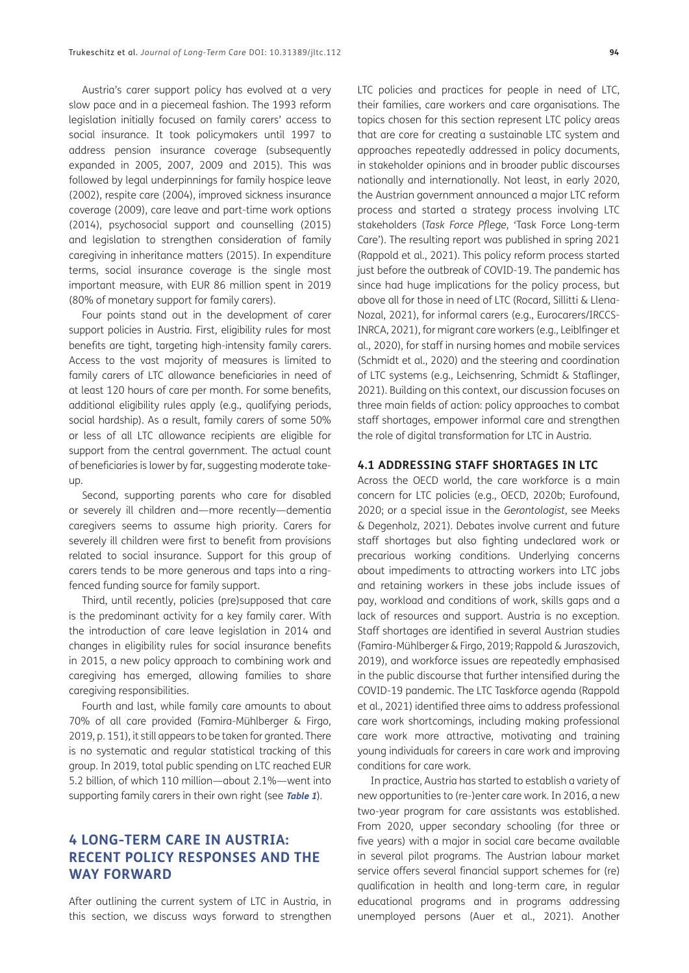Austria's carer support policy has evolved at a very slow pace and in a piecemeal fashion. The 1993 reform legislation initially focused on family carers' access to social insurance. It took policymakers until 1997 to address pension insurance coverage (subsequently expanded in 2005, 2007, 2009 and 2015). This was followed by legal underpinnings for family hospice leave (2002), respite care (2004), improved sickness insurance coverage (2009), care leave and part-time work options (2014), psychosocial support and counselling (2015) and legislation to strengthen consideration of family caregiving in inheritance matters (2015). In expenditure terms, social insurance coverage is the single most important measure, with EUR 86 million spent in 2019 (80% of monetary support for family carers).

Four points stand out in the development of carer support policies in Austria. First, eligibility rules for most benefits are tight, targeting high-intensity family carers. Access to the vast majority of measures is limited to family carers of LTC allowance beneficiaries in need of at least 120 hours of care per month. For some benefits, additional eligibility rules apply (e.g., qualifying periods, social hardship). As a result, family carers of some 50% or less of all LTC allowance recipients are eligible for support from the central government. The actual count of beneficiaries is lower by far, suggesting moderate takeup.

Second, supporting parents who care for disabled or severely ill children and—more recently—dementia caregivers seems to assume high priority. Carers for severely ill children were first to benefit from provisions related to social insurance. Support for this group of carers tends to be more generous and taps into a ringfenced funding source for family support.

Third, until recently, policies (pre)supposed that care is the predominant activity for a key family carer. With the introduction of care leave legislation in 2014 and changes in eligibility rules for social insurance benefits in 2015, a new policy approach to combining work and caregiving has emerged, allowing families to share caregiving responsibilities.

Fourth and last, while family care amounts to about 70% of all care provided [\(Famira-Mühlberger & Firgo,](#page-11-0) [2019](#page-11-0), p. 151), it still appears to be taken for granted. There is no systematic and regular statistical tracking of this group. In 2019, total public spending on LTC reached EUR 5.2 billion, of which 110 million—about 2.1%—went into supporting family carers in their own right (see **[Table 1](#page-2-0)**).

## **4 LONG-TERM CARE IN AUSTRIA: RECENT POLICY RESPONSES AND THE WAY FORWARD**

After outlining the current system of LTC in Austria, in this section, we discuss ways forward to strengthen

LTC policies and practices for people in need of LTC, their families, care workers and care organisations. The topics chosen for this section represent LTC policy areas that are core for creating a sustainable LTC system and approaches repeatedly addressed in policy documents, in stakeholder opinions and in broader public discourses nationally and internationally. Not least, in early 2020, the Austrian government announced a major LTC reform process and started a strategy process involving LTC stakeholders (*Task Force Pflege*, 'Task Force Long-term Care'). The resulting report was published in spring 2021 ([Rappold et al., 2021](#page-11-0)). This policy reform process started just before the outbreak of COVID-19. The pandemic has since had huge implications for the policy process, but above all for those in need of LTC [\(Rocard, Sillitti & Llena-](#page-12-0)[Nozal, 2021\)](#page-12-0), for informal carers (e.g., [Eurocarers/IRCCS-](#page-10-1)[INRCA, 2021](#page-10-1)), for migrant care workers (e.g., [Leiblfinger et](#page-11-0)  [al., 2020\)](#page-11-0), for staff in nursing homes and mobile services ([Schmidt et al., 2020\)](#page-12-0) and the steering and coordination of LTC systems (e.g., [Leichsenring, Schmidt & Staflinger,](#page-11-0)  [2021\)](#page-11-0). Building on this context, our discussion focuses on three main fields of action: policy approaches to combat staff shortages, empower informal care and strengthen the role of digital transformation for LTC in Austria.

#### **4.1 ADDRESSING STAFF SHORTAGES IN LTC**

Across the OECD world, the care workforce is a main concern for LTC policies (e.g., [OECD, 2020b](#page-11-0); Eurofound, 2020; or a special issue in the *Gerontologist*, see [Meeks](#page-11-0)  [& Degenholz, 2021](#page-11-0)). Debates involve current and future staff shortages but also fighting undeclared work or precarious working conditions. Underlying concerns about impediments to attracting workers into LTC jobs and retaining workers in these jobs include issues of pay, workload and conditions of work, skills gaps and a lack of resources and support. Austria is no exception. Staff shortages are identified in several Austrian studies ([Famira-Mühlberger & Firgo, 2019](#page-11-0); [Rappold & Juraszovich,](#page-11-0)  [2019\)](#page-11-0), and workforce issues are repeatedly emphasised in the public discourse that further intensified during the COVID-19 pandemic. The LTC Taskforce agenda [\(Rappold](#page-11-0)  [et al., 2021\)](#page-11-0) identified three aims to address professional care work shortcomings, including making professional care work more attractive, motivating and training young individuals for careers in care work and improving conditions for care work.

In practice, Austria has started to establish a variety of new opportunities to (re-)enter care work. In 2016, a new two-year program for care assistants was established. From 2020, upper secondary schooling (for three or five years) with a major in social care became available in several pilot programs. The Austrian labour market service offers several financial support schemes for (re) qualification in health and long-term care, in regular educational programs and in programs addressing unemployed persons ([Auer et al., 2021\)](#page-10-1). Another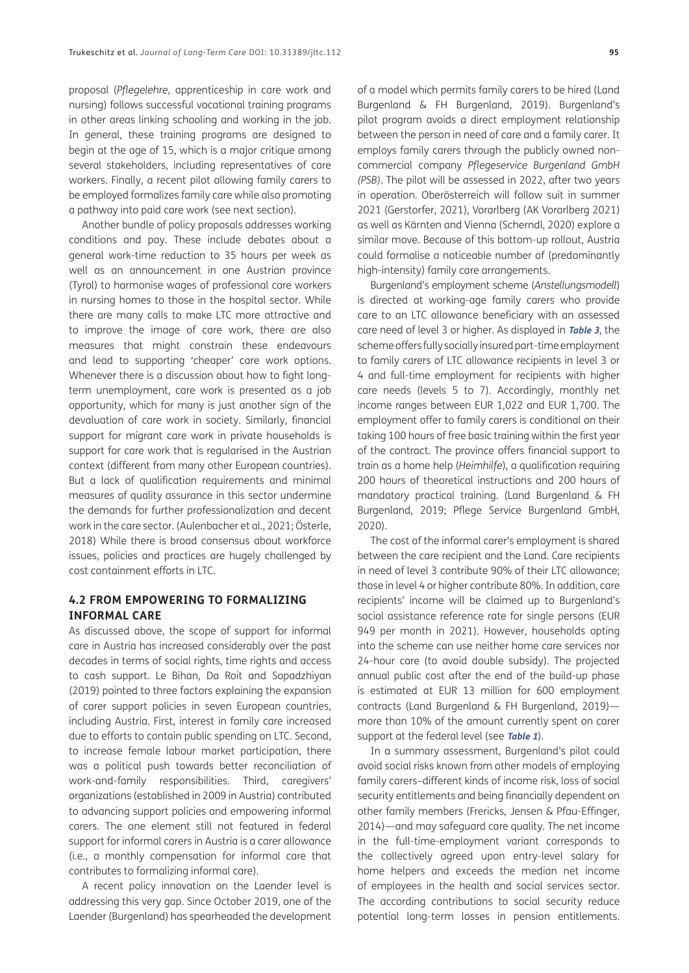proposal (*Pflegelehre*, apprenticeship in care work and nursing) follows successful vocational training programs in other areas linking schooling and working in the job. In general, these training programs are designed to begin at the age of 15, which is a major critique among several stakeholders, including representatives of care workers. Finally, a recent pilot allowing family carers to be employed formalizes family care while also promoting a pathway into paid care work (see next section).

Another bundle of policy proposals addresses working conditions and pay. These include debates about a general work-time reduction to 35 hours per week as well as an announcement in one Austrian province (Tyrol) to harmonise wages of professional care workers in nursing homes to those in the hospital sector. While there are many calls to make LTC more attractive and to improve the image of care work, there are also measures that might constrain these endeavours and lead to supporting 'cheaper' care work options. Whenever there is a discussion about how to fight longterm unemployment, care work is presented as a job opportunity, which for many is just another sign of the devaluation of care work in society. Similarly, financial support for migrant care work in private households is support for care work that is regularised in the Austrian context (different from many other European countries). But a lack of qualification requirements and minimal measures of quality assurance in this sector undermine the demands for further professionalization and decent work in the care sector. [\(Aulenbacher et al., 2021;](#page-10-1) [Österle,](#page-11-0) [2018](#page-11-0)) While there is broad consensus about workforce issues, policies and practices are hugely challenged by cost containment efforts in LTC.

### **4.2 FROM EMPOWERING TO FORMALIZING INFORMAL CARE**

As discussed above, the scope of support for informal care in Austria has increased considerably over the past decades in terms of social rights, time rights and access to cash support. [Le Bihan, Da Roit and Sopadzhiyan](#page-11-0) [\(2019\)](#page-11-0) pointed to three factors explaining the expansion of carer support policies in seven European countries, including Austria. First, interest in family care increased due to efforts to contain public spending on LTC. Second, to increase female labour market participation, there was a political push towards better reconciliation of work-and-family responsibilities. Third, caregivers' organizations (established in 2009 in Austria) contributed to advancing support policies and empowering informal carers. The one element still not featured in federal support for informal carers in Austria is a carer allowance (i.e., a monthly compensation for informal care that contributes to formalizing informal care).

A recent policy innovation on the Laender level is addressing this very gap. Since October 2019, one of the Laender (Burgenland) has spearheaded the development

of a model which permits family carers to be hired [\(Land](#page-11-0)  [Burgenland & FH Burgenland, 2019\)](#page-11-0). Burgenland's pilot program avoids a direct employment relationship between the person in need of care and a family carer. It employs family carers through the publicly owned noncommercial company *Pflegeservice Burgenland GmbH (PSB)*. The pilot will be assessed in 2022, after two years in operation. Oberösterreich will follow suit in summer 2021 [\(Gerstorfer, 2021\)](#page-11-0), [Vorarlberg \(AK Vorarlberg 2021\)](#page-12-0) as well as Kärnten and Vienna [\(Scherndl, 2020](#page-12-0)) explore a similar move. Because of this bottom-up rollout, Austria could formalise a noticeable number of (predominantly high-intensity) family care arrangements.

Burgenland's employment scheme (*Anstellungsmodell*) is directed at working-age family carers who provide care to an LTC allowance beneficiary with an assessed care need of level 3 or higher. As displayed in **[Table 3](#page-8-0)**, the scheme offers fully socially insured part-time employment to family carers of LTC allowance recipients in level 3 or 4 and full-time employment for recipients with higher care needs (levels 5 to 7). Accordingly, monthly net income ranges between EUR 1,022 and EUR 1,700. The employment offer to family carers is conditional on their taking 100 hours of free basic training within the first year of the contract. The province offers financial support to train as a home help (*Heimhilfe*), a qualification requiring 200 hours of theoretical instructions and 200 hours of mandatory practical training. ([Land Burgenland & FH](#page-11-0)  [Burgenland, 2019;](#page-11-0) [Pflege Service Burgenland GmbH,](#page-11-0)  [2020\)](#page-11-0).

The cost of the informal carer's employment is shared between the care recipient and the Land. Care recipients in need of level 3 contribute 90% of their LTC allowance; those in level 4 or higher contribute 80%. In addition, care recipients' income will be claimed up to Burgenland's social assistance reference rate for single persons (EUR 949 per month in 2021). However, households opting into the scheme can use neither home care services nor 24-hour care (to avoid double subsidy). The projected annual public cost after the end of the build-up phase is estimated at EUR 13 million for 600 employment contracts ([Land Burgenland & FH Burgenland, 2019\)](#page-11-0) more than 10% of the amount currently spent on carer support at the federal level (see **[Table 1](#page-2-0)**).

In a summary assessment, Burgenland's pilot could avoid social risks known from other models of employing family carers–different kinds of income risk, loss of social security entitlements and being financially dependent on other family members [\(Frericks, Jensen & Pfau-Effinger,](#page-11-0)  [2014\)](#page-11-0)—and may safeguard care quality. The net income in the full-time-employment variant corresponds to the collectively agreed upon entry-level salary for home helpers and exceeds the median net income of employees in the health and social services sector. The according contributions to social security reduce potential long-term losses in pension entitlements.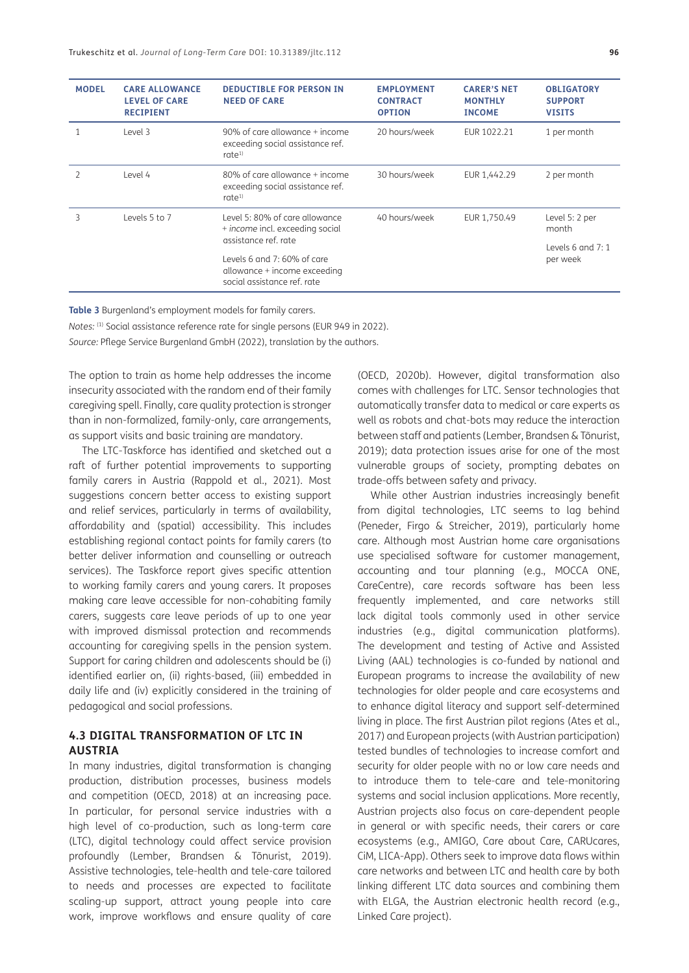| <b>MODEL</b> | <b>CARE ALLOWANCE</b><br><b>LEVEL OF CARE</b><br><b>RECIPIENT</b> | <b>DEDUCTIBLE FOR PERSON IN</b><br><b>NEED OF CARE</b>                                     | <b>EMPLOYMENT</b><br><b>CONTRACT</b><br><b>OPTION</b> | <b>CARER'S NET</b><br><b>MONTHLY</b><br><b>INCOME</b> | <b>OBLIGATORY</b><br><b>SUPPORT</b><br><b>VISITS</b> |
|--------------|-------------------------------------------------------------------|--------------------------------------------------------------------------------------------|-------------------------------------------------------|-------------------------------------------------------|------------------------------------------------------|
|              | Level 3                                                           | $90\%$ of care allowance + income<br>exceeding social assistance ref.<br>rate <sup>1</sup> | 20 hours/week                                         | EUR 1022.21                                           | 1 per month                                          |
|              | Level 4                                                           | 80% of care allowance + income<br>exceeding social assistance ref.<br>rate <sup>1</sup>    | 30 hours/week                                         | EUR 1,442.29                                          | 2 per month                                          |
| 3            | Levels 5 to 7                                                     | Level 5: 80% of care allowance<br>+ income incl. exceeding social<br>assistance ref. rate  | 40 hours/week                                         | EUR 1,750.49                                          | Level 5: 2 per<br>month                              |
|              |                                                                   | Levels 6 and 7: 60% of care<br>allowance + income exceeding<br>social assistance ref. rate |                                                       |                                                       | Levels $6$ and $7:1$<br>per week                     |

<span id="page-8-0"></span>**Table 3** Burgenland's employment models for family carers.

*Notes:* (1) Social assistance reference rate for single persons (EUR 949 in 2022).

*Source:* Pflege Service Burgenland GmbH ([2022](#page-12-0)), translation by the authors.

The option to train as home help addresses the income insecurity associated with the random end of their family caregiving spell. Finally, care quality protection is stronger than in non-formalized, family-only, care arrangements, as support visits and basic training are mandatory.

The LTC-Taskforce has identified and sketched out a raft of further potential improvements to supporting family carers in Austria [\(Rappold et al., 2021\)](#page-11-0). Most suggestions concern better access to existing support and relief services, particularly in terms of availability, affordability and (spatial) accessibility. This includes establishing regional contact points for family carers (to better deliver information and counselling or outreach services). The Taskforce report gives specific attention to working family carers and young carers. It proposes making care leave accessible for non-cohabiting family carers, suggests care leave periods of up to one year with improved dismissal protection and recommends accounting for caregiving spells in the pension system. Support for caring children and adolescents should be (i) identified earlier on, (ii) rights-based, (iii) embedded in daily life and (iv) explicitly considered in the training of pedagogical and social professions.

#### **4.3 DIGITAL TRANSFORMATION OF LTC IN AUSTRIA**

In many industries, digital transformation is changing production, distribution processes, business models and competition [\(OECD, 2018\)](#page-11-0) at an increasing pace. In particular, for personal service industries with a high level of co-production, such as long-term care (LTC), digital technology could affect service provision profoundly ([Lember, Brandsen & Tõnurist, 2019](#page-11-0)). Assistive technologies, tele-health and tele-care tailored to needs and processes are expected to facilitate scaling-up support, attract young people into care work, improve workflows and ensure quality of care

([OECD, 2020b\)](#page-11-0). However, digital transformation also comes with challenges for LTC. Sensor technologies that automatically transfer data to medical or care experts as well as robots and chat-bots may reduce the interaction between staff and patients [\(Lember, Brandsen & Tõnurist,](#page-11-0)  [2019\)](#page-11-0); data protection issues arise for one of the most vulnerable groups of society, prompting debates on trade-offs between safety and privacy.

While other Austrian industries increasingly benefit from digital technologies, LTC seems to lag behind ([Peneder, Firgo & Streicher, 2019](#page-11-0)), particularly home care. Although most Austrian home care organisations use specialised software for customer management, accounting and tour planning (e.g., MOCCA ONE, CareCentre), care records software has been less frequently implemented, and care networks still lack digital tools commonly used in other service industries (e.g., digital communication platforms). The development and testing of Active and Assisted Living (AAL) technologies is co-funded by national and European programs to increase the availability of new technologies for older people and care ecosystems and to enhance digital literacy and support self-determined living in place. The first Austrian pilot regions [\(Ates et al.,](#page-10-1)  [2017\)](#page-10-1) and European projects (with Austrian participation) tested bundles of technologies to increase comfort and security for older people with no or low care needs and to introduce them to tele-care and tele-monitoring systems and social inclusion applications. More recently, Austrian projects also focus on care-dependent people in general or with specific needs, their carers or care ecosystems (e.g., [AMIGO](#page-10-1), [Care about Care,](#page-10-1) [CARUcares,](#page-10-1) [CiM](#page-10-1), [LICA-App\)](#page-11-0). Others seek to improve data flows within care networks and between LTC and health care by both linking different LTC data sources and combining them with ELGA, the Austrian electronic health record (e.g., Linked Care project).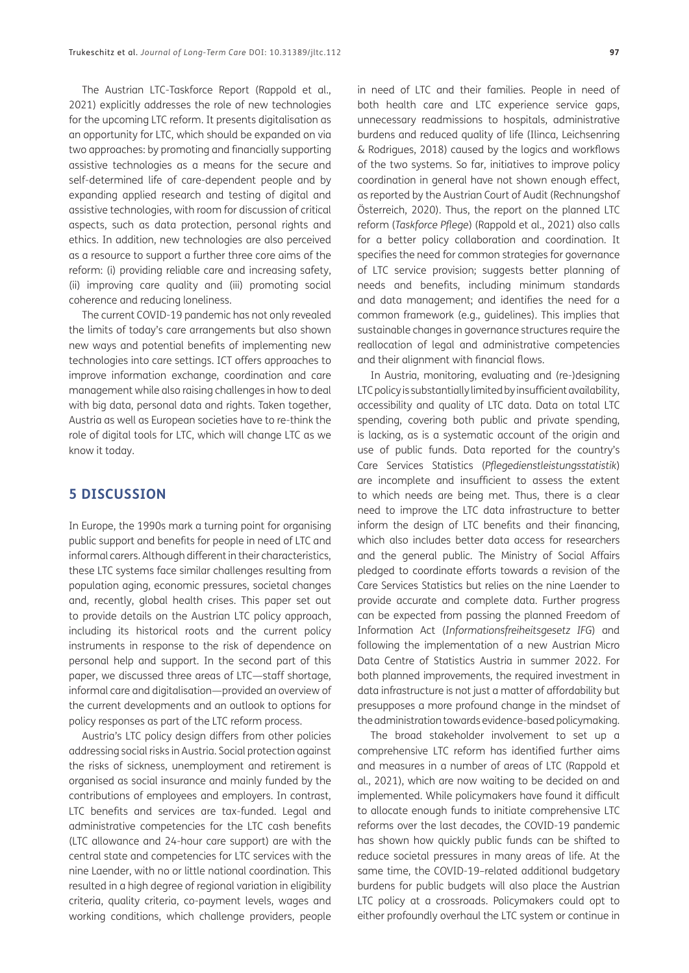The Austrian LTC-Taskforce Report ([Rappold et al.,](#page-11-0) [2021](#page-11-0)) explicitly addresses the role of new technologies for the upcoming LTC reform. It presents digitalisation as an opportunity for LTC, which should be expanded on via two approaches: by promoting and financially supporting assistive technologies as a means for the secure and self-determined life of care-dependent people and by expanding applied research and testing of digital and assistive technologies, with room for discussion of critical aspects, such as data protection, personal rights and ethics. In addition, new technologies are also perceived as a resource to support a further three core aims of the reform: (i) providing reliable care and increasing safety, (ii) improving care quality and (iii) promoting social coherence and reducing loneliness.

The current COVID-19 pandemic has not only revealed the limits of today's care arrangements but also shown new ways and potential benefits of implementing new technologies into care settings. ICT offers approaches to improve information exchange, coordination and care management while also raising challenges in how to deal with big data, personal data and rights. Taken together, Austria as well as European societies have to re-think the role of digital tools for LTC, which will change LTC as we know it today.

## **5 DISCUSSION**

In Europe, the 1990s mark a turning point for organising public support and benefits for people in need of LTC and informal carers. Although different in their characteristics, these LTC systems face similar challenges resulting from population aging, economic pressures, societal changes and, recently, global health crises. This paper set out to provide details on the Austrian LTC policy approach, including its historical roots and the current policy instruments in response to the risk of dependence on personal help and support. In the second part of this paper, we discussed three areas of LTC—staff shortage, informal care and digitalisation—provided an overview of the current developments and an outlook to options for policy responses as part of the LTC reform process.

Austria's LTC policy design differs from other policies addressing social risks in Austria. Social protection against the risks of sickness, unemployment and retirement is organised as social insurance and mainly funded by the contributions of employees and employers. In contrast, LTC benefits and services are tax-funded. Legal and administrative competencies for the LTC cash benefits (LTC allowance and 24-hour care support) are with the central state and competencies for LTC services with the nine Laender, with no or little national coordination*.* This resulted in a high degree of regional variation in eligibility criteria, quality criteria, co-payment levels, wages and working conditions, which challenge providers, people in need of LTC and their families. People in need of both health care and LTC experience service gaps, unnecessary readmissions to hospitals, administrative burdens and reduced quality of life [\(Ilinca, Leichsenring](#page-11-0)  [& Rodrigues, 2018\)](#page-11-0) caused by the logics and workflows of the two systems. So far, initiatives to improve policy coordination in general have not shown enough effect, as reported by the Austrian Court of Audit [\(Rechnungshof](#page-11-0)  [Österreich, 2020](#page-11-0)). Thus, the report on the planned LTC reform (*Taskforce Pflege*) [\(Rappold et al., 2021\)](#page-11-0) also calls for a better policy collaboration and coordination. It specifies the need for common strategies for governance of LTC service provision; suggests better planning of needs and benefits, including minimum standards and data management; and identifies the need for a common framework (e.g., guidelines). This implies that sustainable changes in governance structures require the reallocation of legal and administrative competencies and their alignment with financial flows.

In Austria, monitoring, evaluating and (re-)designing LTC policy is substantially limited by insufficient availability, accessibility and quality of LTC data. Data on total LTC spending, covering both public and private spending, is lacking, as is a systematic account of the origin and use of public funds. Data reported for the country's Care Services Statistics (*Pflegedienstleistungsstatistik*) are incomplete and insufficient to assess the extent to which needs are being met. Thus, there is a clear need to improve the LTC data infrastructure to better inform the design of LTC benefits and their financing, which also includes better data access for researchers and the general public. The Ministry of Social Affairs pledged to coordinate efforts towards a revision of the Care Services Statistics but relies on the nine Laender to provide accurate and complete data. Further progress can be expected from passing the planned Freedom of Information Act (*Informationsfreiheitsgesetz IFG*) and following the implementation of a new Austrian Micro Data Centre of Statistics Austria in summer 2022. For both planned improvements, the required investment in data infrastructure is not just a matter of affordability but presupposes a more profound change in the mindset of the administration towards evidence-based policymaking.

The broad stakeholder involvement to set up a comprehensive LTC reform has identified further aims and measures in a number of areas of LTC ([Rappold et](#page-11-0)  [al., 2021](#page-11-0)), which are now waiting to be decided on and implemented. While policymakers have found it difficult to allocate enough funds to initiate comprehensive LTC reforms over the last decades, the COVID-19 pandemic has shown how quickly public funds can be shifted to reduce societal pressures in many areas of life. At the same time, the COVID-19–related additional budgetary burdens for public budgets will also place the Austrian LTC policy at a crossroads. Policymakers could opt to either profoundly overhaul the LTC system or continue in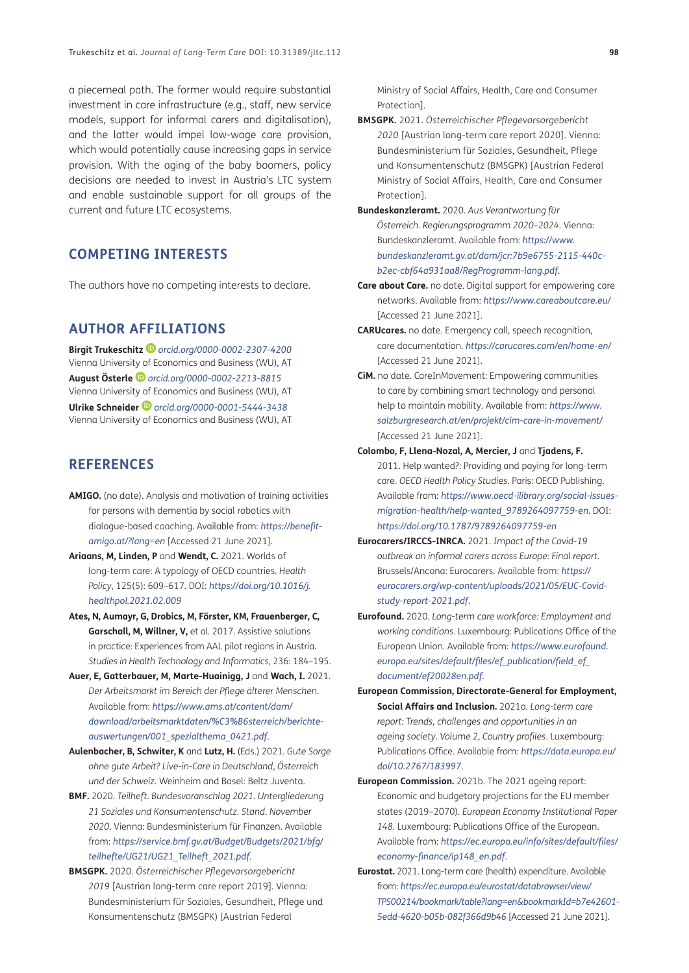<span id="page-10-1"></span>a piecemeal path. The former would require substantial investment in care infrastructure (e.g., staff, new service models, support for informal carers and digitalisation), and the latter would impel low-wage care provision, which would potentially cause increasing gaps in service provision. With the aging of the baby boomers, policy decisions are needed to invest in Austria's LTC system and enable sustainable support for all groups of the current and future LTC ecosystems.

## **COMPETING INTERESTS**

The authors have no competing interests to declare.

### <span id="page-10-0"></span>**AUTHOR AFFILIATIONS**

**Birgit Trukeschitz** *[orcid.org/0000-0002-2307-4200](https://orcid.org/0000-0002-2307-4200)* Vienna University of Economics and Business (WU), AT **August Österle** *[orcid.org/0000-0002-2213-8815](https://orcid.org/0000-0002-2213-8815)* Vienna University of Economics and Business (WU), AT **Ulrike Schneider** *[orcid.org/0000-0001-5444-3438](https://orcid.org/0000-0001-5444-3438)* Vienna University of Economics and Business (WU), AT

## **REFERENCES**

- **AMIGO.** (no date). Analysis and motivation of training activities for persons with dementia by social robotics with dialogue-based coaching. Available from: *[https://benefit](https://benefit-amigo.at/?lang=en)[amigo.at/?lang=en](https://benefit-amigo.at/?lang=en)* [Accessed 21 June 2021].
- **Ariaans, M, Linden, P** and **Wendt, C.** 2021. Worlds of long-term care: A typology of OECD countries. *Health Policy*, 125(5): 609–617. DOI: *[https://doi.org/10.1016/j.](https://doi.org/10.1016/j.healthpol.2021.02.009) [healthpol.2021.02.009](https://doi.org/10.1016/j.healthpol.2021.02.009)*
- **Ates, N, Aumayr, G, Drobics, M, Förster, KM, Frauenberger, C, Garschall, M, Willner, V,** et al. 2017. Assistive solutions in practice: Experiences from AAL pilot regions in Austria. *Studies in Health Technology and Informatics*, 236: 184–195.
- **Auer, E, Gatterbauer, M, Marte-Huainigg, J** and **Wach, I.** 2021. *Der Arbeitsmarkt im Bereich der Pflege älterer Menschen*. Available from: *[https://www.ams.at/content/dam/](https://www.ams.at/content/dam/download/arbeitsmarktdaten/%C3%B6sterreich/berichte-auswertungen/001_spezialthema_0421.pdf) [download/arbeitsmarktdaten/%C3%B6sterreich/berichte](https://www.ams.at/content/dam/download/arbeitsmarktdaten/%C3%B6sterreich/berichte-auswertungen/001_spezialthema_0421.pdf)[auswertungen/001\\_spezialthema\\_0421.pdf](https://www.ams.at/content/dam/download/arbeitsmarktdaten/%C3%B6sterreich/berichte-auswertungen/001_spezialthema_0421.pdf)*.
- **Aulenbacher, B, Schwiter, K** and **Lutz, H.** (Eds.) 2021. *Gute Sorge ohne gute Arbeit? Live-in-Care in Deutschland, Österreich und der Schweiz*. Weinheim and Basel: Beltz Juventa.
- **BMF.** 2020. *Teilheft. Bundesvoranschlag 2021. Untergliederung 21 Soziales und Konsumentenschutz. Stand. November 2020*. Vienna: Bundesministerium für Finanzen. Available from: *[https://service.bmf.gv.at/Budget/Budgets/2021/bfg/](https://service.bmf.gv.at/Budget/Budgets/2021/bfg/teilhefte/UG21/UG21_Teilheft_2021.pdf) [teilhefte/UG21/UG21\\_Teilheft\\_2021.pdf](https://service.bmf.gv.at/Budget/Budgets/2021/bfg/teilhefte/UG21/UG21_Teilheft_2021.pdf)*.
- **BMSGPK.** 2020. *Österreichischer Pflegevorsorgebericht 2019* [Austrian long-term care report 2019]. Vienna: Bundesministerium für Soziales, Gesundheit, Pflege und Konsumentenschutz (BMSGPK) [Austrian Federal

Ministry of Social Affairs, Health, Care and Consumer Protection].

- **BMSGPK.** 2021. *Österreichischer Pflegevorsorgebericht 2020* [Austrian long-term care report 2020]. Vienna: Bundesministerium für Soziales, Gesundheit, Pflege und Konsumentenschutz (BMSGPK) [Austrian Federal Ministry of Social Affairs, Health, Care and Consumer Protection].
- **Bundeskanzleramt.** 2020. *Aus Verantwortung für Österreich. Regierungsprogramm 2020–2024*. Vienna: Bundeskanzleramt. Available from: *[https://www.](https://www.bundeskanzleramt.gv.at/dam/jcr:7b9e6755-2115-440c-b2ec-cbf64a931aa8/RegProgramm-lang.pdf) [bundeskanzleramt.gv.at/dam/jcr:7b9e6755-2115-440c](https://www.bundeskanzleramt.gv.at/dam/jcr:7b9e6755-2115-440c-b2ec-cbf64a931aa8/RegProgramm-lang.pdf)[b2ec-cbf64a931aa8/RegProgramm-lang.pdf](https://www.bundeskanzleramt.gv.at/dam/jcr:7b9e6755-2115-440c-b2ec-cbf64a931aa8/RegProgramm-lang.pdf)*.
- **Care about Care.** no date. Digital support for empowering care networks. Available from: *<https://www.careaboutcare.eu/>* [Accessed 21 June 2021].
- **CARUcares.** no date. Emergency call, speech recognition, care documentation. *<https://carucares.com/en/home-en/>* [Accessed 21 June 2021].
- **CiM.** no date. CareInMovement: Empowering communities to care by combining smart technology and personal help to maintain mobility. Available from: *[https://www.](https://www.salzburgresearch.at/en/projekt/cim-care-in-movement/) [salzburgresearch.at/en/projekt/cim-care-in-movement/](https://www.salzburgresearch.at/en/projekt/cim-care-in-movement/)* [Accessed 21 June 2021].
- **Colombo, F, Llena-Nozal, A, Mercier, J** and **Tjadens, F.** 2011. Help wanted?: Providing and paying for long-term care. *OECD Health Policy Studies*. Paris: OECD Publishing. Available from: *[https://www.oecd-ilibrary.org/social-issues](https://www.oecd-ilibrary.org/social-issues-migration-health/help-wanted_9789264097759-en)[migration-health/help-wanted\\_9789264097759-en](https://www.oecd-ilibrary.org/social-issues-migration-health/help-wanted_9789264097759-en)*. DOI: *<https://doi.org/10.1787/9789264097759-en>*
- **Eurocarers/IRCCS-INRCA.** 2021. *Impact of the Covid-19 outbreak on informal carers across Europe: Final report*. Brussels/Ancona: Eurocarers. Available from: *[https://](https://eurocarers.org/wp-content/uploads/2021/05/EUC-Covid-study-report-2021.pdf) [eurocarers.org/wp-content/uploads/2021/05/EUC-Covid](https://eurocarers.org/wp-content/uploads/2021/05/EUC-Covid-study-report-2021.pdf)[study-report-2021.pdf](https://eurocarers.org/wp-content/uploads/2021/05/EUC-Covid-study-report-2021.pdf)*.
- **Eurofound.** 2020. *Long-term care workforce: Employment and working conditions*. Luxembourg: Publications Office of the European Union. Available from: *[https://www.eurofound.](https://www.eurofound.europa.eu/sites/default/files/ef_publication/field_ef_document/ef20028en.pdf) [europa.eu/sites/default/files/ef\\_publication/field\\_ef\\_](https://www.eurofound.europa.eu/sites/default/files/ef_publication/field_ef_document/ef20028en.pdf) [document/ef20028en.pdf](https://www.eurofound.europa.eu/sites/default/files/ef_publication/field_ef_document/ef20028en.pdf)*.
- **European Commission, Directorate-General for Employment, Social Affairs and Inclusion.** 2021a. *Long-term care report: Trends, challenges and opportunities in an ageing society. Volume 2, Country profiles*. Luxembourg: Publications Office. Available from: *[https://data.europa.eu/](https://data.europa.eu/doi/10.2767/183997) [doi/10.2767/183997](https://data.europa.eu/doi/10.2767/183997)*.
- **European Commission.** 2021b. The 2021 ageing report: Economic and budgetary projections for the EU member states (2019–2070). *European Economy Institutional Paper 148*. Luxembourg: Publications Office of the European. Available from: *[https://ec.europa.eu/info/sites/default/files/](https://ec.europa.eu/info/sites/default/files/economy-finance/ip148_en.pdf) [economy-finance/ip148\\_en.pdf](https://ec.europa.eu/info/sites/default/files/economy-finance/ip148_en.pdf)*.
- **Eurostat.** 2021. Long-term care (health) expenditure. Available from: *[https://ec.europa.eu/eurostat/databrowser/view/](https://ec.europa.eu/eurostat/databrowser/view/TPS00214/bookmark/table?lang=en&bookmarkId=b7e42601-5edd-4620-b05b-082f366d9b46) [TPS00214/bookmark/table?lang=en&bookmarkId=b7e42601-](https://ec.europa.eu/eurostat/databrowser/view/TPS00214/bookmark/table?lang=en&bookmarkId=b7e42601-5edd-4620-b05b-082f366d9b46) [5edd-4620-b05b-082f366d9b46](https://ec.europa.eu/eurostat/databrowser/view/TPS00214/bookmark/table?lang=en&bookmarkId=b7e42601-5edd-4620-b05b-082f366d9b46)* [Accessed 21 June 2021].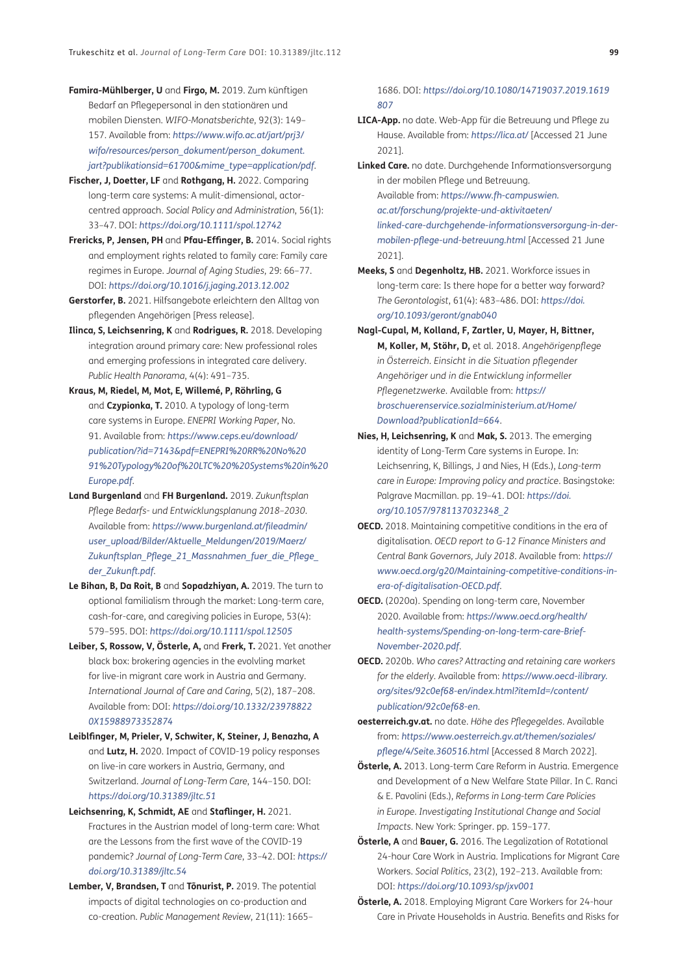- <span id="page-11-0"></span>**Famira-Mühlberger, U** and **Firgo, M.** 2019. Zum künftigen Bedarf an Pflegepersonal in den stationären und mobilen Diensten. *WIFO-Monatsberichte*, 92(3): 149– 157. Available from: *[https://www.wifo.ac.at/jart/prj3/](https://www.wifo.ac.at/jart/prj3/wifo/resources/person_dokument/person_dokument.jart?publikationsid=61654&mime_type=application/pdf) [wifo/resources/person\\_dokument/person\\_dokument.](https://www.wifo.ac.at/jart/prj3/wifo/resources/person_dokument/person_dokument.jart?publikationsid=61654&mime_type=application/pdf) [jart?publikationsid=61700&mime\\_type=application/pdf](https://www.wifo.ac.at/jart/prj3/wifo/resources/person_dokument/person_dokument.jart?publikationsid=61654&mime_type=application/pdf)*.
- **Fischer, J, Doetter, LF** and **Rothgang, H.** 2022. Comparing long-term care systems: A mulit-dimensional, actorcentred approach. *Social Policy and Administration*, 56(1): 33–47. DOI: *<https://doi.org/10.1111/spol.12742>*
- **Frericks, P, Jensen, PH** and **Pfau-Effinger, B.** 2014. Social rights and employment rights related to family care: Family care regimes in Europe. *Journal of Aging Studies*, 29: 66–77. DOI: *<https://doi.org/10.1016/j.jaging.2013.12.002>*
- **Gerstorfer, B.** 2021. Hilfsangebote erleichtern den Alltag von pflegenden Angehörigen [Press release].
- **Ilinca, S, Leichsenring, K** and **Rodrigues, R.** 2018. Developing integration around primary care: New professional roles and emerging professions in integrated care delivery. *Public Health Panorama*, 4(4): 491–735.
- **Kraus, M, Riedel, M, Mot, E, Willemé, P, Röhrling, G**  and **Czypionka, T.** 2010. A typology of long-term care systems in Europe. *ENEPRI Working Paper*, No. 91. Available from: *[https://www.ceps.eu/download/](https://www.ceps.eu/download/publication/?id=7143&pdf=ENEPRI%20RR%20No%2091%20Typology%20of%20LTC%20%20Systems%20in%20Europe.pdf) [publication/?id=7143&pdf=ENEPRI%20RR%20No%20](https://www.ceps.eu/download/publication/?id=7143&pdf=ENEPRI%20RR%20No%2091%20Typology%20of%20LTC%20%20Systems%20in%20Europe.pdf) [91%20Typology%20of%20LTC%20%20Systems%20in%20](https://www.ceps.eu/download/publication/?id=7143&pdf=ENEPRI%20RR%20No%2091%20Typology%20of%20LTC%20%20Systems%20in%20Europe.pdf) [Europe.pdf](https://www.ceps.eu/download/publication/?id=7143&pdf=ENEPRI%20RR%20No%2091%20Typology%20of%20LTC%20%20Systems%20in%20Europe.pdf)*.
- **Land Burgenland** and **FH Burgenland.** 2019. *Zukunftsplan Pflege Bedarfs- und Entwicklungsplanung 2018–2030*. Available from: *[https://www.burgenland.at/fileadmin/](https://www.burgenland.at/fileadmin/user_upload/Bilder/Aktuelle_Meldungen/2019/Maerz/Zukunftsplan_Pflege_21_Massnahmen_fuer_die_Pflege_der_Zukunft.pdf) [user\\_upload/Bilder/Aktuelle\\_Meldungen/2019/Maerz/](https://www.burgenland.at/fileadmin/user_upload/Bilder/Aktuelle_Meldungen/2019/Maerz/Zukunftsplan_Pflege_21_Massnahmen_fuer_die_Pflege_der_Zukunft.pdf) [Zukunftsplan\\_Pflege\\_21\\_Massnahmen\\_fuer\\_die\\_Pflege\\_](https://www.burgenland.at/fileadmin/user_upload/Bilder/Aktuelle_Meldungen/2019/Maerz/Zukunftsplan_Pflege_21_Massnahmen_fuer_die_Pflege_der_Zukunft.pdf) [der\\_Zukunft.pdf](https://www.burgenland.at/fileadmin/user_upload/Bilder/Aktuelle_Meldungen/2019/Maerz/Zukunftsplan_Pflege_21_Massnahmen_fuer_die_Pflege_der_Zukunft.pdf)*.
- **Le Bihan, B, Da Roit, B** and **Sopadzhiyan, A.** 2019. The turn to optional familialism through the market: Long-term care, cash-for-care, and caregiving policies in Europe, 53(4): 579–595. DOI: *<https://doi.org/10.1111/spol.12505>*
- **Leiber, S, Rossow, V, Österle, A,** and **Frerk, T.** 2021. Yet another black box: brokering agencies in the evolvling market for live-in migrant care work in Austria and Germany. *International Journal of Care and Caring*, 5(2), 187–208. Available from: DOI: *[https://doi.org/10.1332/23978822](https://doi.org/10.1332/239788220X15988973352874) [0X15988973352874](https://doi.org/10.1332/239788220X15988973352874)*
- **Leiblfinger, M, Prieler, V, Schwiter, K, Steiner, J, Benazha, A**  and **Lutz, H.** 2020. Impact of COVID-19 policy responses on live-in care workers in Austria, Germany, and Switzerland. *Journal of Long-Term Care*, 144–150. DOI: *<https://doi.org/10.31389/jltc.51>*
- **Leichsenring, K, Schmidt, AE** and **Staflinger, H.** 2021. Fractures in the Austrian model of long-term care: What are the Lessons from the first wave of the COVID-19 pandemic? *Journal of Long-Term Care*, 33–42. DOI: *[https://](https://doi.org/10.31389/jltc.54) [doi.org/10.31389/jltc.54](https://doi.org/10.31389/jltc.54)*
- **Lember, V, Brandsen, T** and **Tõnurist, P.** 2019. The potential impacts of digital technologies on co-production and co-creation. *Public Management Review*, 21(11): 1665–

1686. DOI: *[https://doi.org/10.1080/14719037.2019.1619](https://doi.org/10.1080/14719037.2019.1619807) [807](https://doi.org/10.1080/14719037.2019.1619807)*

- **LICA-App.** no date. Web-App für die Betreuung und Pflege zu Hause. Available from: *<https://lica.at/>* [Accessed 21 June 2021].
- **Linked Care.** no date. Durchgehende Informationsversorgung in der mobilen Pflege und Betreuung. Available from: *[https://www.fh-campuswien.](https://www.fh-campuswien.ac.at/forschung/projekte-und-aktivitaeten/linked-care-durchgehende-informationsversorgung-in-der-mobilen-pflege-und-betreuung.html) [ac.at/forschung/projekte-und-aktivitaeten/](https://www.fh-campuswien.ac.at/forschung/projekte-und-aktivitaeten/linked-care-durchgehende-informationsversorgung-in-der-mobilen-pflege-und-betreuung.html) [linked-care-durchgehende-informationsversorgung-in-der](https://www.fh-campuswien.ac.at/forschung/projekte-und-aktivitaeten/linked-care-durchgehende-informationsversorgung-in-der-mobilen-pflege-und-betreuung.html)[mobilen-pflege-und-betreuung.html](https://www.fh-campuswien.ac.at/forschung/projekte-und-aktivitaeten/linked-care-durchgehende-informationsversorgung-in-der-mobilen-pflege-und-betreuung.html)* [Accessed 21 June 2021].
- **Meeks, S** and **Degenholtz, HB.** 2021. Workforce issues in long-term care: Is there hope for a better way forward? *The Gerontologist*, 61(4): 483–486. DOI: *[https://doi.](https://doi.org/10.1093/geront/gnab040) [org/10.1093/geront/gnab040](https://doi.org/10.1093/geront/gnab040)*
- **Nagl-Cupal, M, Kolland, F, Zartler, U, Mayer, H, Bittner, M, Koller, M, Stöhr, D,** et al. 2018. *Angehörigenpflege in Österreich. Einsicht in die Situation pflegender Angehöriger und in die Entwicklung informeller Pflegenetzwerke*. Available from: *[https://](https://broschuerenservice.sozialministerium.at/Home/Download?publicationId=664) [broschuerenservice.sozialministerium.at/Home/](https://broschuerenservice.sozialministerium.at/Home/Download?publicationId=664) [Download?publicationId=664](https://broschuerenservice.sozialministerium.at/Home/Download?publicationId=664)*.
- **Nies, H, Leichsenring, K** and **Mak, S.** 2013. The emerging identity of Long-Term Care systems in Europe. In: Leichsenring, K, Billings, J and Nies, H (Eds.), *Long-term care in Europe: Improving policy and practice*. Basingstoke: Palgrave Macmillan. pp. 19–41. DOI: *[https://doi.](https://doi.org/10.1057/9781137032348_2) [org/10.1057/9781137032348\\_2](https://doi.org/10.1057/9781137032348_2)*
- **OECD.** 2018. Maintaining competitive conditions in the era of digitalisation. *OECD report to G-12 Finance Ministers and Central Bank Governors, July 2018*. Available from: *[https://](https://www.oecd.org/g20/Maintaining-competitive-conditions-in-era-of-digitalisation-OECD.pdf) [www.oecd.org/g20/Maintaining-competitive-conditions-in](https://www.oecd.org/g20/Maintaining-competitive-conditions-in-era-of-digitalisation-OECD.pdf)[era-of-digitalisation-OECD.pdf](https://www.oecd.org/g20/Maintaining-competitive-conditions-in-era-of-digitalisation-OECD.pdf)*.
- **OECD.** (2020a). Spending on long-term care, November 2020. Available from: *https://www.oecd.org/health/ health-systems/Spending-on-long-term-care-Brief-November-2020.pdf*.
- **OECD.** 2020b. *Who cares? Attracting and retaining care workers for the elderly*. Available from: *[https://www.oecd-ilibrary.](https://www.oecd-ilibrary.org/sites/92c0ef68-en/index.html?itemId=/content/publication/92c0ef68-en) [org/sites/92c0ef68-en/index.html?itemId=/content/](https://www.oecd-ilibrary.org/sites/92c0ef68-en/index.html?itemId=/content/publication/92c0ef68-en) [publication/92c0ef68-en](https://www.oecd-ilibrary.org/sites/92c0ef68-en/index.html?itemId=/content/publication/92c0ef68-en)*.
- **oesterreich.gv.at.** no date. *Höhe des Pflegegeldes*. Available from: *[https://www.oesterreich.gv.at/themen/soziales/](https://www.oesterreich.gv.at/themen/soziales/pflege/4/Seite.360516.html) [pflege/4/Seite.360516.html](https://www.oesterreich.gv.at/themen/soziales/pflege/4/Seite.360516.html)* [Accessed 8 March 2022].
- **Österle, A.** 2013. Long-term Care Reform in Austria. Emergence and Development of a New Welfare State Pillar. In C. Ranci & E. Pavolini (Eds.), *Reforms in Long-term Care Policies in Europe. Investigating Institutional Change and Social Impacts*. New York: Springer. pp. 159–177.
- **Österle, A** and **Bauer, G.** 2016. The Legalization of Rotational 24-hour Care Work in Austria. Implications for Migrant Care Workers. *Social Politics*, 23(2), 192–213. Available from: DOI: *<https://doi.org/10.1093/sp/jxv001>*
- **Österle, A.** 2018. Employing Migrant Care Workers for 24-hour Care in Private Households in Austria. Benefits and Risks for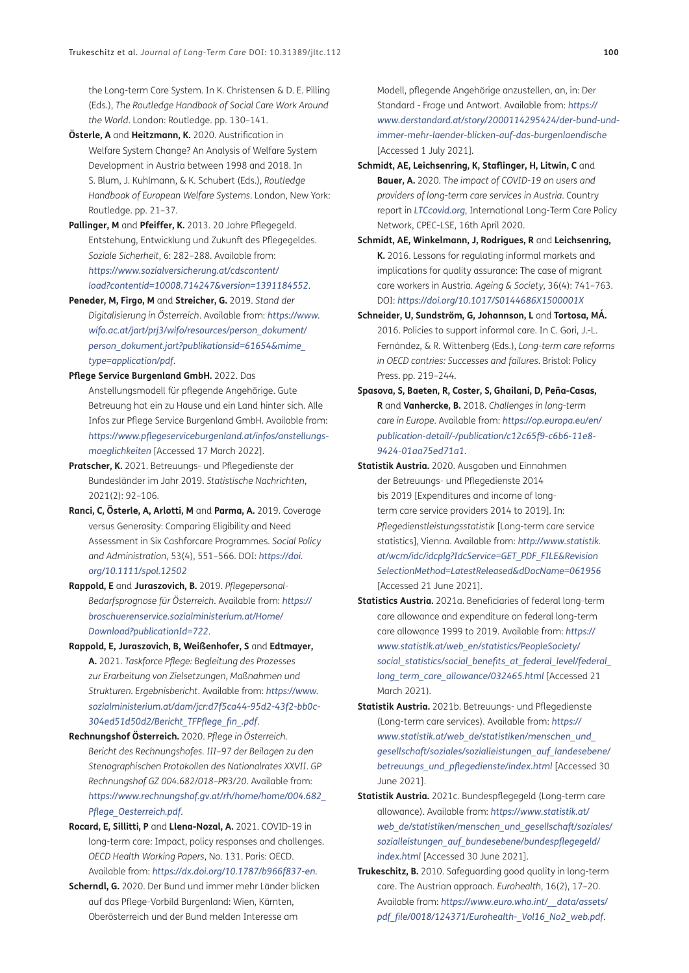<span id="page-12-0"></span>the Long-term Care System. In K. Christensen & D. E. Pilling (Eds.), *The Routledge Handbook of Social Care Work Around the World*. London: Routledge. pp. 130–141.

- **Österle, A** and **Heitzmann, K.** 2020. Austrification in Welfare System Change? An Analysis of Welfare System Development in Austria between 1998 and 2018. In S. Blum, J. Kuhlmann, & K. Schubert (Eds.), *Routledge Handbook of European Welfare Systems*. London, New York: Routledge. pp. 21–37.
- **Pallinger, M** and **Pfeiffer, K.** 2013. 20 Jahre Pflegegeld. Entstehung, Entwicklung und Zukunft des Pflegegeldes. *Soziale Sicherheit*, 6: 282–288. Available from: *[https://www.sozialversicherung.at/cdscontent/](https://www.sozialversicherung.at/cdscontent/load?contentid=10008.714247&version=1391184552) [load?contentid=10008.714247&version=1391184552](https://www.sozialversicherung.at/cdscontent/load?contentid=10008.714247&version=1391184552)*.
- **Peneder, M, Firgo, M** and **Streicher, G.** 2019. *Stand der Digitalisierung in Österreich*. Available from: *[https://www.](https://www.wifo.ac.at/jart/prj3/wifo/resources/person_dokument/person_dokument.jart?publikationsid=61654&mime_type=application/pdf) [wifo.ac.at/jart/prj3/wifo/resources/person\\_dokument/](https://www.wifo.ac.at/jart/prj3/wifo/resources/person_dokument/person_dokument.jart?publikationsid=61654&mime_type=application/pdf) [person\\_dokument.jart?publikationsid=61654&mime\\_](https://www.wifo.ac.at/jart/prj3/wifo/resources/person_dokument/person_dokument.jart?publikationsid=61654&mime_type=application/pdf) [type=application/pdf](https://www.wifo.ac.at/jart/prj3/wifo/resources/person_dokument/person_dokument.jart?publikationsid=61654&mime_type=application/pdf)*.
- **Pflege Service Burgenland GmbH.** 2022. Das Anstellungsmodell für pflegende Angehörige. Gute Betreuung hat ein zu Hause und ein Land hinter sich. Alle Infos zur Pflege Service Burgenland GmbH. Available from: *[https://www.pflegeserviceburgenland.at/infos/anstellungs](https://www.pflegeserviceburgenland.at/infos/anstellungs-moeglichkeiten)[moeglichkeiten](https://www.pflegeserviceburgenland.at/infos/anstellungs-moeglichkeiten)* [Accessed 17 March 2022].
- **Pratscher, K.** 2021. Betreuungs- und Pflegedienste der Bundesländer im Jahr 2019. *Statistische Nachrichten*, 2021(2): 92–106.
- **Ranci, C, Österle, A, Arlotti, M** and **Parma, A.** 2019. Coverage versus Generosity: Comparing Eligibility and Need Assessment in Six Cashforcare Programmes. *Social Policy and Administration*, 53(4), 551–566. DOI: *[https://doi.](https://doi.org/10.1111/spol.12502) [org/10.1111/spol.12502](https://doi.org/10.1111/spol.12502)*
- **Rappold, E** and **Juraszovich, B.** 2019. *Pflegepersonal-Bedarfsprognose für Österreich*. Available from: *[https://](https://broschuerenservice.sozialministerium.at/Home/Download?publicationId=722) [broschuerenservice.sozialministerium.at/Home/](https://broschuerenservice.sozialministerium.at/Home/Download?publicationId=722) [Download?publicationId=722](https://broschuerenservice.sozialministerium.at/Home/Download?publicationId=722)*.
- **Rappold, E, Juraszovich, B, Weißenhofer, S** and **Edtmayer, A.** 2021. *Taskforce Pflege: Begleitung des Prozesses zur Erarbeitung von Zielsetzungen, Maßnahmen und Strukturen. Ergebnisbericht*. Available from: *[https://www.](https://www.sozialministerium.at/dam/jcr:d7f5ca44-95d2-43f2-bb0c-304ed51d50d2/Bericht_TFPflege_fin_.pdf) [sozialministerium.at/dam/jcr:d7f5ca44-95d2-43f2-bb0c-](https://www.sozialministerium.at/dam/jcr:d7f5ca44-95d2-43f2-bb0c-304ed51d50d2/Bericht_TFPflege_fin_.pdf)[304ed51d50d2/Bericht\\_TFPflege\\_fin\\_.pdf](https://www.sozialministerium.at/dam/jcr:d7f5ca44-95d2-43f2-bb0c-304ed51d50d2/Bericht_TFPflege_fin_.pdf)*.
- **Rechnungshof Österreich.** 2020. *Pflege in Österreich. Bericht des Rechnungshofes. III–97 der Beilagen zu den Stenographischen Protokollen des Nationalrates XXVII. GP Rechnungshof GZ 004.682/018–PR3/20.* Available from: *[https://www.rechnungshof.gv.at/rh/home/home/004.682\\_](https://www.rechnungshof.gv.at/rh/home/home/004.682_Pflege_Oesterreich.pdf) [Pflege\\_Oesterreich.pdf](https://www.rechnungshof.gv.at/rh/home/home/004.682_Pflege_Oesterreich.pdf)*.
- **Rocard, E, Sillitti, P** and **Llena-Nozal, A.** 2021. COVID-19 in long-term care: Impact, policy responses and challenges. *OECD Health Working Papers*, No. 131. Paris: OECD. Available from: *<https://dx.doi.org/10.1787/b966f837-en>*.
- **Scherndl, G.** 2020. Der Bund und immer mehr Länder blicken auf das Pflege-Vorbild Burgenland: Wien, Kärnten, Oberösterreich und der Bund melden Interesse am

Modell, pflegende Angehörige anzustellen, an, in: Der Standard - Frage und Antwort. Available from: *[https://](https://www.derstandard.at/story/2000114295424/der-bund-und-immer-mehr-laender-blicken-auf-das-burgenlaendische) [www.derstandard.at/story/2000114295424/der-bund-und](https://www.derstandard.at/story/2000114295424/der-bund-und-immer-mehr-laender-blicken-auf-das-burgenlaendische)[immer-mehr-laender-blicken-auf-das-burgenlaendische](https://www.derstandard.at/story/2000114295424/der-bund-und-immer-mehr-laender-blicken-auf-das-burgenlaendische)* [Accessed 1 July 2021].

- **Schmidt, AE, Leichsenring, K, Staflinger, H, Litwin, C** and **Bauer, A.** 2020. *The impact of COVID-19 on users and providers of long-term care services in Austria.* Country report in *[LTCcovid.org](http://LTCcovid.org)*, International Long-Term Care Policy Network, CPEC-LSE, 16th April 2020.
- **Schmidt, AE, Winkelmann, J, Rodrigues, R** and **Leichsenring, K.** 2016. Lessons for regulating informal markets and implications for quality assurance: The case of migrant care workers in Austria. *Ageing & Society*, 36(4): 741–763. DOI: *<https://doi.org/10.1017/S0144686X1500001X>*
- **Schneider, U, Sundström, G, Johannson, L** and **Tortosa, MÁ.** 2016. Policies to support informal care. In C. Gori, J.-L. Fernández, & R. Wittenberg (Eds.), *Long-term care reforms in OECD contries: Successes and failures*. Bristol: Policy Press. pp. 219–244.
- **Spasova, S, Baeten, R, Coster, S, Ghailani, D, Peña-Casas, R** and **Vanhercke, B.** 2018. *Challenges in long-term care in Europe*. Available from: *[https://op.europa.eu/en/](https://op.europa.eu/en/publication-detail/-/publication/c12c65f9-c6b6-11e8-9424-01aa75ed71a1) [publication-detail/-/publication/c12c65f9-c6b6-11e8-](https://op.europa.eu/en/publication-detail/-/publication/c12c65f9-c6b6-11e8-9424-01aa75ed71a1) [9424-01aa75ed71a1](https://op.europa.eu/en/publication-detail/-/publication/c12c65f9-c6b6-11e8-9424-01aa75ed71a1)*.
- **Statistik Austria.** 2020. Ausgaben und Einnahmen der Betreuungs- und Pflegedienste 2014 bis 2019 [Expenditures and income of longterm care service providers 2014 to 2019]. In: *Pflegedienstleistungsstatistik* [Long-term care service statistics], Vienna. Available from: *[http://www.statistik.](http://www.statistik.at/wcm/idc/idcplg?IdcService=GET_PDF_FILE&RevisionSelectionMethod=LatestReleased&dDocName=061956) [at/wcm/idc/idcplg?IdcService=GET\\_PDF\\_FILE&Revision](http://www.statistik.at/wcm/idc/idcplg?IdcService=GET_PDF_FILE&RevisionSelectionMethod=LatestReleased&dDocName=061956)  [SelectionMethod=LatestReleased&dDocName=061956](http://www.statistik.at/wcm/idc/idcplg?IdcService=GET_PDF_FILE&RevisionSelectionMethod=LatestReleased&dDocName=061956)* [Accessed 21 June 2021].
- **Statistics Austria.** 2021a. Beneficiaries of federal long-term care allowance and expenditure on federal long-term care allowance 1999 to 2019. Available from: *[https://](https://www.statistik.at/web_en/statistics/PeopleSociety/social_statistics/social_benefits_at_federal_level/federal_long_term_care_allowance/032465.html) [www.statistik.at/web\\_en/statistics/PeopleSociety/](https://www.statistik.at/web_en/statistics/PeopleSociety/social_statistics/social_benefits_at_federal_level/federal_long_term_care_allowance/032465.html) [social\\_statistics/social\\_benefits\\_at\\_federal\\_level/federal\\_](https://www.statistik.at/web_en/statistics/PeopleSociety/social_statistics/social_benefits_at_federal_level/federal_long_term_care_allowance/032465.html) [long\\_term\\_care\\_allowance/032465.html](https://www.statistik.at/web_en/statistics/PeopleSociety/social_statistics/social_benefits_at_federal_level/federal_long_term_care_allowance/032465.html)* [Accessed 21 March 2021).
- **Statistik Austria.** 2021b. Betreuungs- und Pflegedienste (Long-term care services). Available from: *[https://](https://www.statistik.at/web_de/statistiken/menschen_und_gesellschaft/soziales/sozialleistungen_auf_landesebene/betreuungs_und_pflegedienste/index.html) [www.statistik.at/web\\_de/statistiken/menschen\\_und\\_](https://www.statistik.at/web_de/statistiken/menschen_und_gesellschaft/soziales/sozialleistungen_auf_landesebene/betreuungs_und_pflegedienste/index.html) [gesellschaft/soziales/sozialleistungen\\_auf\\_landesebene/](https://www.statistik.at/web_de/statistiken/menschen_und_gesellschaft/soziales/sozialleistungen_auf_landesebene/betreuungs_und_pflegedienste/index.html) [betreuungs\\_und\\_pflegedienste/index.html](https://www.statistik.at/web_de/statistiken/menschen_und_gesellschaft/soziales/sozialleistungen_auf_landesebene/betreuungs_und_pflegedienste/index.html)* [Accessed 30 June 2021].
- **Statistik Austria.** 2021c. Bundespflegegeld (Long-term care allowance). Available from: *[https://www.statistik.at/](https://www.statistik.at/web_de/statistiken/menschen_und_gesellschaft/soziales/sozialleistungen_auf_landesebene/betreuungs_und_pflegedienste/index.html) [web\\_de/statistiken/menschen\\_und\\_gesellschaft/soziales/](https://www.statistik.at/web_de/statistiken/menschen_und_gesellschaft/soziales/sozialleistungen_auf_landesebene/betreuungs_und_pflegedienste/index.html) [sozialleistungen\\_auf\\_bundesebene/bundespflegegeld/](https://www.statistik.at/web_de/statistiken/menschen_und_gesellschaft/soziales/sozialleistungen_auf_landesebene/betreuungs_und_pflegedienste/index.html) [index.html](https://www.statistik.at/web_de/statistiken/menschen_und_gesellschaft/soziales/sozialleistungen_auf_landesebene/betreuungs_und_pflegedienste/index.html)* [Accessed 30 June 2021].
- **Trukeschitz, B.** 2010. Safeguarding good quality in long-term care. The Austrian approach. *Eurohealth*, 16(2), 17–20. Available from: *[https://www.euro.who.int/\\_\\_data/assets/](https://www.euro.who.int/__data/assets/pdf_file/0018/124371/Eurohealth-_Vol16_No2_web.pdf) [pdf\\_file/0018/124371/Eurohealth-\\_Vol16\\_No2\\_web.pdf](https://www.euro.who.int/__data/assets/pdf_file/0018/124371/Eurohealth-_Vol16_No2_web.pdf)*.